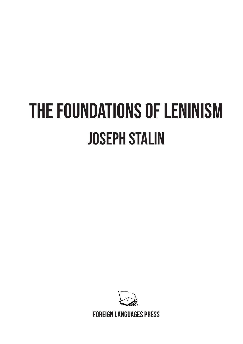# the Foundations of Leninism Joseph Stalin



Foreign Languages Press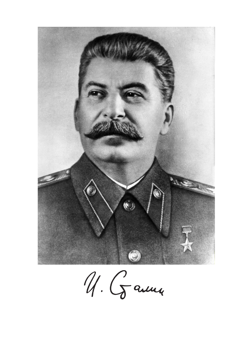

1. Gama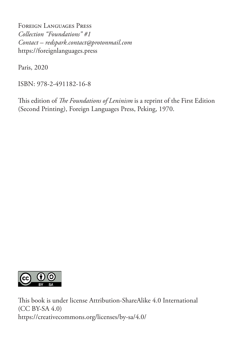Foreign Languages Press *Collection "Foundations" #1 Contact – redspark.contact@protonmail.com* https://foreignlanguages.press

Paris, 2020

ISBN: 978-2-491182-16-8

This edition of *The Foundations of Leninism* is a reprint of the First Edition (Second Printing), Foreign Languages Press, Peking, 1970.



This book is under license Attribution-ShareAlike 4.0 International (CC BY-SA 4.0) https://creativecommons.org/licenses/by-sa/4.0/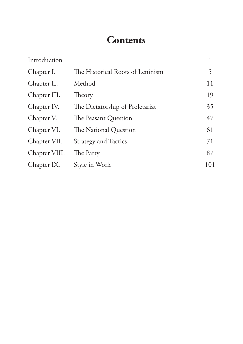## **Contents**

| Introduction  |                                  |     |
|---------------|----------------------------------|-----|
| Chapter I.    | The Historical Roots of Leninism | 5   |
| Chapter II.   | Method                           | 11  |
| Chapter III.  | Theory                           | 19  |
| Chapter IV.   | The Dictatorship of Proletariat  | 35  |
| Chapter V.    | The Peasant Question             | 47  |
| Chapter VI.   | The National Question            | 61  |
| Chapter VII.  | <b>Strategy and Tactics</b>      | 71  |
| Chapter VIII. | The Party                        | 87  |
| Chapter IX.   | Style in Work                    | 101 |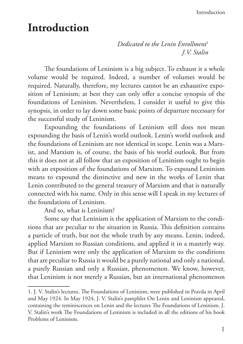## **Introduction**

*Dedicated to the Lenin Enrollment*<sup>1</sup> *J.V. Stalin*

The foundations of Leninism is a big subject. To exhaust it a whole volume would be required. Indeed, a number of volumes would be required. Naturally, therefore, my lectures cannot be an exhaustive exposition of Leninism; at best they can only offer a concise synopsis of the foundations of Leninism. Nevertheless, I consider it useful to give this synopsis, in order to lay down some basic points of departure necessary for the successful study of Leninism.

Expounding the foundations of Leninism still does not mean expounding the basis of Lenin's world outlook. Lenin's world outlook and the foundations of Leninism are not identical in scope. Lenin was a Marxist, and Marxism is, of course, the basis of his world outlook. But from this it does not at all follow that an exposition of Leninism ought to begin with an exposition of the foundations of Marxism. To expound Leninism means to expound the distinctive and new in the works of Lenin that Lenin contributed to the general treasury of Marxism and that is naturally connected with his name. Only in this sense will I speak in my lectures of the foundations of Leninism.

And so, what is Leninism?

Some say that Leninism is the application of Marxism to the conditions that are peculiar to the situation in Russia. This definition contains a particle of truth, but not the whole truth by any means. Lenin, indeed, applied Marxism to Russian conditions, and applied it in a masterly way. But if Leninism were only the application of Marxism to the conditions that are peculiar to Russia it would be a purely national and only a national, a purely Russian and only a Russian, phenomenon. We know, however, that Leninism is not merely a Russian, but an international phenomenon

<sup>1.</sup> J. V. Stalin's lectures, The Foundations of Leninism, were published in Pravda in April and May 1924. In May 1924, J. V. Stalin's pamphlet On Lenin and Leninism appeared, containing the reminiscences on Lenin and the lectures The Foundations of Leninism. J. V. Stalin's work The Foundations of Leninism is included in all the editions of his book Problems of Leninism.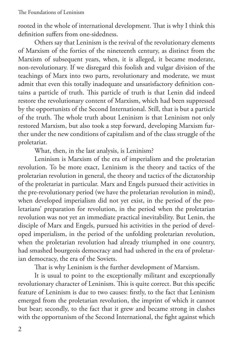rooted in the whole of international development. That is why I think this definition suffers from one-sidedness.

Others say that Leninism is the revival of the revolutionary elements of Marxism of the forties of the nineteenth century, as distinct from the Marxism of subsequent years, when, it is alleged, it became moderate, non-revolutionary. If we disregard this foolish and vulgar division of the teachings of Marx into two parts, revolutionary and moderate, we must admit that even this totally inadequate and unsatisfactory definition contains a particle of truth. This particle of truth is that Lenin did indeed restore the revolutionary content of Marxism, which had been suppressed by the opportunists of the Second International. Still, that is but a particle of the truth. The whole truth about Leninism is that Leninism not only restored Marxism, but also took a step forward, developing Marxism further under the new conditions of capitalism and of the class struggle of the proletariat.

What, then, in the last analysis, is Leninism?

Leninism is Marxism of the era of imperialism and the proletarian revolution. To be more exact, Leninism is the theory and tactics of the proletarian revolution in general, the theory and tactics of the dictatorship of the proletariat in particular. Marx and Engels pursued their activities in the pre-revolutionary period (we have the proletarian revolution in mind), when developed imperialism did not yet exist, in the period of the proletarians' preparation for revolution, in the period when the proletarian revolution was not yet an immediate practical inevitability. But Lenin, the disciple of Marx and Engels, pursued his activities in the period of developed imperialism, in the period of the unfolding proletarian revolution, when the proletarian revolution had already triumphed in one country, had smashed bourgeois democracy and had ushered in the era of proletarian democracy, the era of the Soviets.

That is why Leninism is the further development of Marxism.

It is usual to point to the exceptionally militant and exceptionally revolutionary character of Leninism. This is quite correct. But this specific feature of Leninism is due to two causes: firstly, to the fact that Leninism emerged from the proletarian revolution, the imprint of which it cannot but bear; secondly, to the fact that it grew and became strong in clashes with the opportunism of the Second International, the fight against which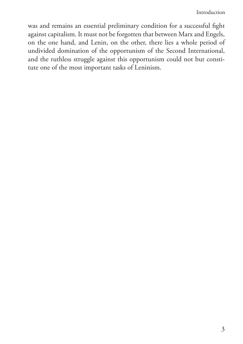was and remains an essential preliminary condition for a successful fight against capitalism. It must not be forgotten that between Marx and Engels, on the one hand, and Lenin, on the other, there lies a whole period of undivided domination of the opportunism of the Second International, and the ruthless struggle against this opportunism could not but constitute one of the most important tasks of Leninism.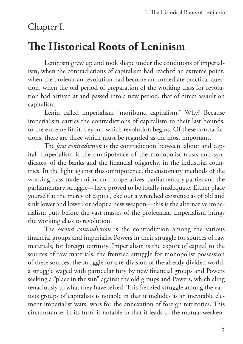#### Chapter I.

### **The Historical Roots of Leninism**

Leninism grew up and took shape under the conditions of imperialism, when the contradictions of capitalism had reached an extreme point, when the proletarian revolution had become an immediate practical question, when the old period of preparation of the working class for revolution had arrived at and passed into a new period, that of direct assault on capitalism.

Lenin called imperialism "moribund capitalism." Why? Because imperialism carries the contradictions of capitalism to their last bounds, to the extreme limit, beyond which revolution begins. Of these contradictions, there are three which must be regarded as the most important.

The *first contradiction* is the contradiction between labour and capital. Imperialism is the omnipotence of the monopolist trusts and syndicates, of the banks and the financial oligarchy, in the industrial countries. In the fight against this omnipotence, the customary methods of the working class-trade unions and cooperatives, parliamentary parties and the parliamentary struggle—have proved to be totally inadequate. Either place yourself at the mercy of capital, eke out a wretched existence as of old and sink lower and lower, or adopt a new weapon—this is the alternative imperialism puts before the vast masses of the proletariat. Imperialism brings the working class to revolution.

The *second contradiction* is the contradiction among the various financial groups and imperialist Powers in their struggle for sources of raw materials, for foreign territory. Imperialism is the export of capital to the sources of raw materials, the frenzied struggle for monopolist possession of these sources, the struggle for a re-division of the already divided world, a struggle waged with particular fury by new financial groups and Powers seeking a "place in the sun" against the old groups and Powers, which cling tenaciously to what they have seized. This frenzied struggle among the various groups of capitalists is notable in that it includes as an inevitable element imperialist wars, wars for the annexation of foreign territories. This circumstance, in its turn, is notable in that it leads to the mutual weaken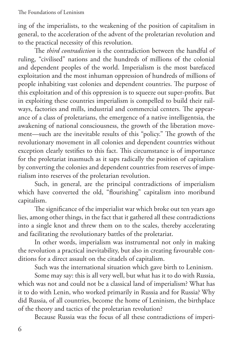ing of the imperialists, to the weakening of the position of capitalism in general, to the acceleration of the advent of the proletarian revolution and to the practical necessity of this revolution.

The *third contradiction* is the contradiction between the handful of ruling, "civilised" nations and the hundreds of millions of the colonial and dependent peoples of the world. Imperialism is the most barefaced exploitation and the most inhuman oppression of hundreds of millions of people inhabiting vast colonies and dependent countries. The purpose of this exploitation and of this oppression is to squeeze out super-profits. But in exploiting these countries imperialism is compelled to build their railways, factories and mills, industrial and commercial centers. The appearance of a class of proletarians, the emergence of a native intelligentsia, the awakening of national consciousness, the growth of the liberation movement—such are the inevitable results of this "policy." The growth of the revolutionary movement in all colonies and dependent countries without exception clearly testifies to this fact. This circumstance is of importance for the proletariat inasmuch as it saps radically the position of capitalism by converting the colonies and dependent countries from reserves of imperialism into reserves of the proletarian revolution.

Such, in general, are the principal contradictions of imperialism which have converted the old, "flourishing" capitalism into moribund capitalism.

The significance of the imperialist war which broke out ten years ago lies, among other things, in the fact that it gathered all these contradictions into a single knot and threw them on to the scales, thereby accelerating and facilitating the revolutionary battles of the proletariat.

In other words, imperialism was instrumental not only in making the revolution a practical inevitability, but also in creating favourable conditions for a direct assault on the citadels of capitalism.

Such was the international situation which gave birth to Leninism.

Some may say: this is all very well, but what has it to do with Russia, which was not and could not be a classical land of imperialism? What has it to do with Lenin, who worked primarily in Russia and for Russia? Why did Russia, of all countries, become the home of Leninism, the birthplace of the theory and tactics of the proletarian revolution?

Because Russia was the focus of all these contradictions of imperi-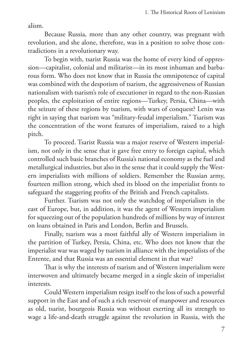alism.

Because Russia, more than any other country, was pregnant with revolution, and she alone, therefore, was in a position to solve those contradictions in a revolutionary way.

To begin with, tsarist Russia was the home of every kind of oppression—capitalist, colonial and militarist—in its most inhuman and barbarous form. Who does not know that in Russia the omnipotence of capital was combined with the despotism of tsarism, the aggressiveness of Russian nationalism with tsarism's role of executioner in regard to the non-Russian peoples, the exploitation of entire regions—Turkey, Persia, China—with the seizure of these regions by tsarism, with wars of conquest? Lenin was right in saying that tsarism was "military-feudal imperialism." Tsarism was the concentration of the worst features of imperialism, raised to a high pitch.

To proceed. Tsarist Russia was a major reserve of Western imperialism, not only in the sense that it gave free entry to foreign capital, which controlled such basic branches of Russia's national economy as the fuel and metallurgical industries, but also in the sense that it could supply the Western imperialists with millions of soldiers. Remember the Russian army, fourteen million strong, which shed its blood on the imperialist fronts to safeguard the staggering profits of the British and French capitalists.

Further. Tsarism was not only the watchdog of imperialism in the east of Europe, but, in addition, it was the agent of Western imperialism for squeezing out of the population hundreds of millions by way of interest on loans obtained in Paris and London, Berlin and Brussels.

Finally, tsarism was a most faithful ally of Western imperialism in the partition of Turkey, Persia, China, etc. Who does not know that the imperialist war was waged by tsarism in alliance with the imperialists of the Entente, and that Russia was an essential element in that war?

That is why the interests of tsarism and of Western imperialism were interwoven and ultimately became merged in a single skein of imperialist interests.

Could Western imperialism resign itself to the loss of such a powerful support in the East and of such a rich reservoir of manpower and resources as old, tsarist, bourgeois Russia was without exerting all its strength to wage a life-and-death struggle against the revolution in Russia, with the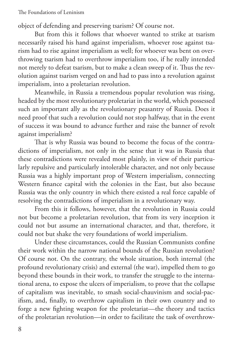object of defending and preserving tsarism? Of course not.

But from this it follows that whoever wanted to strike at tsarism necessarily raised his hand against imperialism, whoever rose against tsarism had to rise against imperialism as well; for whoever was bent on overthrowing tsarism had to overthrow imperialism too, if he really intended not merely to defeat tsarism, but to make a clean sweep of it. Thus the revolution against tsarism verged on and had to pass into a revolution against imperialism, into a proletarian revolution.

Meanwhile, in Russia a tremendous popular revolution was rising, headed by the most revolutionary proletariat in the world, which possessed such an important ally as the revolutionary peasantry of Russia. Does it need proof that such a revolution could not stop halfway, that in the event of success it was bound to advance further and raise the banner of revolt against imperialism?

That is why Russia was bound to become the focus of the contradictions of imperialism, not only in the sense that it was in Russia that these contradictions were revealed most plainly, in view of their particularly repulsive and particularly intolerable character, and not only because Russia was a highly important prop of Western imperialism, connecting Western finance capital with the colonies in the East, but also because Russia was the only country in which there existed a real force capable of resolving the contradictions of imperialism in a revolutionary way.

From this it follows, however, that the revolution in Russia could not but become a proletarian revolution, that from its very inception it could not but assume an international character, and that, therefore, it could not but shake the very foundations of world imperialism.

Under these circumstances, could the Russian Communists confine their work within the narrow national bounds of the Russian revolution? Of course not. On the contrary, the whole situation, both internal (the profound revolutionary crisis) and external (the war), impelled them to go beyond these bounds in their work, to transfer the struggle to the international arena, to expose the ulcers of imperialism, to prove that the collapse of capitalism was inevitable, to smash social-chauvinism and social-pacifism, and, finally, to overthrow capitalism in their own country and to forge a new fighting weapon for the proletariat—the theory and tactics of the proletarian revolution—in order to facilitate the task of overthrow-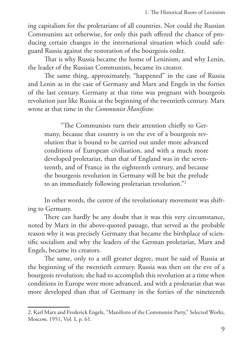ing capitalism for the proletarians of all countries. Nor could the Russian Communists act otherwise, for only this path offered the chance of producing certain changes in the international situation which could safeguard Russia against the restoration of the bourgeois order.

That is why Russia became the home of Leninism, and why Lenin, the leader of the Russian Communists, became its creator.

The same thing, approximately, "happened" in the case of Russia and Lenin as in the case of Germany and Marx and Engels in the forties of the last century. Germany at that time was pregnant with bourgeois revolution just like Russia at the beginning of the twentieth century. Marx wrote at that time in the *Communist Manifesto*:

"The Communists turn their attention chiefly to Germany, because that country is on the eve of a bourgeois revolution that is bound to be carried out under more advanced conditions of European civilisation, and with a much more developed proletariat, than that of England was in the seventeenth, and of France in the eighteenth century, and because the bourgeois revolution in Germany will be but the prelude to an immediately following proletarian revolution."2

In other words, the centre of the revolutionary movement was shifting to Germany.

There can hardly be any doubt that it was this very circumstance, noted by Marx in the above-quoted passage, that served as the probable reason why it was precisely Germany that became the birthplace of scientific socialism and why the leaders of the German proletariat, Marx and Engels, became its creators.

The same, only to a still greater degree, must be said of Russia at the beginning of the twentieth century. Russia was then on the eve of a bourgeois revolution; she had to accomplish this revolution at a time when conditions in Europe were more advanced, and with a proletariat that was more developed than that of Germany in the forties of the nineteenth

<sup>2.</sup> Karl Marx and Frederick Engels, "Manifesto of the Communist Party," Selected Works, Moscow, 1951, Vol. I, p. 61.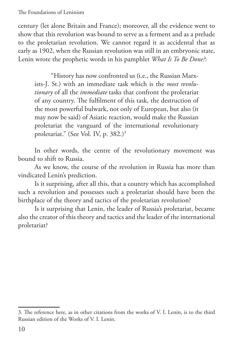The Foundations of Leninism

century (let alone Britain and France); moreover, all the evidence went to show that this revolution was bound to serve as a ferment and as a prelude to the proletarian revolution. We cannot regard it as accidental that as early as 1902, when the Russian revolution was still in an embryonic state, Lenin wrote the prophetic words in his pamphlet *What Is To Be Done?*:

"History has now confronted us (i.e., the Russian Marxists-J. St.) with an immediate task which is the *most revolutionary* of all the *immediate* tasks that confront the proletariat of any country. The fulfilment of this task, the destruction of the most powerful bulwark, not only of European, but also (it may now be said) of Asiatic reaction, would make the Russian proletariat the vanguard of the international revolutionary proletariat." (See Vol. IV, p. 382.)3

In other words, the centre of the revolutionary movement was bound to shift to Russia.

As we know, the course of the revolution in Russia has more than vindicated Lenin's prediction.

Is it surprising, after all this, that a country which has accomplished such a revolution and possesses such a proletariat should have been the birthplace of the theory and tactics of the proletarian revolution?

Is it surprising that Lenin, the leader of Russia's proletariat, became also the creator of this theory and tactics and the leader of the international proletariat?

<sup>3.</sup> The reference here, as in other citations from the works of V. I. Lenin, is to the third Russian edition of the Works of V. I. Lenin.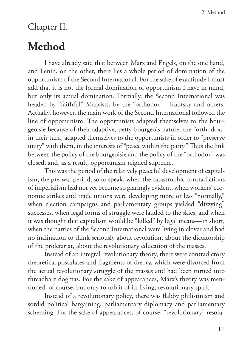#### Chapter II.

### **Method**

I have already said that between Marx and Engels, on the one hand, and Lenin, on the other, there lies a whole period of domination of the opportunism of the Second International. For the sake of exactitude I must add that it is not the formal domination of opportunism I have in mind, but only its actual domination. Formally, the Second International was headed by "faithful" Marxists, by the "orthodox"—Kautsky and others. Actually, however, the main work of the Second International followed the line of opportunism. The opportunists adapted themselves to the bourgeoisie because of their adaptive, petty-bourgeois nature; the "orthodox," in their turn, adapted themselves to the opportunists in order to "preserve unity" with them, in the interests of "peace within the party." Thus the link between the policy of the bourgeoisie and the policy of the "orthodox" was closed, and, as a result, opportunism reigned supreme.

This was the period of the relatively peaceful development of capitalism, the pre-war period, so to speak, when the catastrophic contradictions of imperialism had not yet become so glaringly evident, when workers' economic strikes and trade unions were developing more or less "normally," when election campaigns and parliamentary groups yielded "dizzying" successes, when legal forms of struggle were lauded to the skies, and when it was thought that capitalism would be "killed" by legal means—in short, when the parties of the Second International were living in clover and had no inclination to think seriously about revolution, about the dictatorship of the proletariat, about the revolutionary education of the masses.

Instead of an integral revolutionary theory, there were contradictory theoretical postulates and fragments of theory, which were divorced from the actual revolutionary struggle of the masses and had been turned into threadbare dogmas. For the sake of appearances, Marx's theory was mentioned, of course, but only to rob it of its living, revolutionary spirit.

Instead of a revolutionary policy, there was flabby philistinism and sordid political bargaining, parliamentary diplomacy and parliamentary scheming. For the sake of appearances, of course, "revolutionary" resolu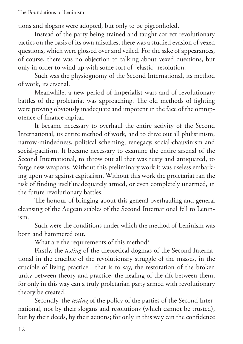tions and slogans were adopted, but only to be pigeonholed.

Instead of the party being trained and taught correct revolutionary tactics on the basis of its own mistakes, there was a studied evasion of vexed questions, which were glossed over and veiled. For the sake of appearances, of course, there was no objection to talking about vexed questions, but only in order to wind up with some sort of "elastic" resolution.

Such was the physiognomy of the Second International, its method of work, its arsenal.

Meanwhile, a new period of imperialist wars and of revolutionary battles of the proletariat was approaching. The old methods of fighting were proving obviously inadequate and impotent in the face of the omnipotence of finance capital.

It became necessary to overhaul the entire activity of the Second International, its entire method of work, and to drive out all philistinism, narrow-mindedness, political scheming, renegacy, social-chauvinism and social-pacifism. It became necessary to examine the entire arsenal of the Second International, to throw out all that was rusty and antiquated, to forge new weapons. Without this preliminary work it was useless embarking upon war against capitalism. Without this work the proletariat ran the risk of finding itself inadequately armed, or even completely unarmed, in the future revolutionary battles.

The honour of bringing about this general overhauling and general cleansing of the Augean stables of the Second International fell to Leninism.

Such were the conditions under which the method of Leninism was born and hammered out.

What are the requirements of this method?

Firstly, the *testing* of the theoretical dogmas of the Second International in the crucible of the revolutionary struggle of the masses, in the crucible of living practice—that is to say, the restoration of the broken unity between theory and practice, the healing of the rift between them; for only in this way can a truly proletarian party armed with revolutionary theory be created.

Secondly, the *testing* of the policy of the parties of the Second International, not by their slogans and resolutions (which cannot be trusted), but by their deeds, by their actions; for only in this way can the confidence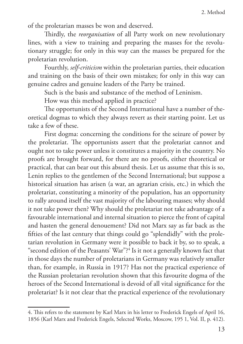of the proletarian masses be won and deserved.

Thirdly, the *reorganisation* of all Party work on new revolutionary lines, with a view to training and preparing the masses for the revolutionary struggle; for only in this way can the masses be prepared for the proletarian revolution.

Fourthly, *self-criticism* within the proletarian parties, their education and training on the basis of their own mistakes; for only in this way can genuine cadres and genuine leaders of the Party be trained.

Such is the basis and substance of the method of Leninism.

How was this method applied in practice?

The opportunists of the Second International have a number of theoretical dogmas to which they always revert as their starting point. Let us take a few of these.

First dogma: concerning the conditions for the seizure of power by the proletariat. The opportunists assert that the proletariat cannot and ought not to take power unless it constitutes a majority in the country. No proofs are brought forward, for there are no proofs, either theoretical or practical, that can bear out this absurd thesis. Let us assume that this is so, Lenin replies to the gentlemen of the Second International; but suppose a historical situation has arisen (a war, an agrarian crisis, etc.) in which the proletariat, constituting a minority of the population, has an opportunity to rally around itself the vast majority of the labouring masses; why should it not take power then? Why should the proletariat not take advantage of a favourable international and internal situation to pierce the front of capital and hasten the general denouement? Did not Marx say as far back as the fifties of the last century that things could go "splendidly" with the proletarian revolution in Germany were it possible to back it by, so to speak, a "second edition of the Peasants' War"?4 Is it not a generally known fact that in those days the number of proletarians in Germany was relatively smaller than, for example, in Russia in 1917? Has not the practical experience of the Russian proletarian revolution shown that this favourite dogma of the heroes of the Second International is devoid of all vital significance for the proletariat? Is it not clear that the practical experience of the revolutionary

<sup>4.</sup> This refers to the statement by Karl Marx in his letter to Frederick Engels of April 16, 1856 (Karl Marx and Frederick Engels, Selected Works, Moscow, 195 1, Vol. II, p. 412).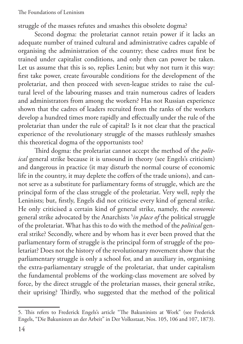struggle of the masses refutes and smashes this obsolete dogma?

Second dogma: the proletariat cannot retain power if it lacks an adequate number of trained cultural and administrative cadres capable of organising the administration of the country; these cadres must first be trained under capitalist conditions, and only then can power be taken. Let us assume that this is so, replies Lenin; but why not turn it this way: first take power, create favourable conditions for the development of the proletariat, and then proceed with seven-league strides to raise the cultural level of the labouring masses and train numerous cadres of leaders and administrators from among the workers? Has not Russian experience shown that the cadres of leaders recruited from the ranks of the workers develop a hundred times more rapidly and effectually under the rule of the proletariat than under the rule of capital? Is it not clear that the practical experience of the revolutionary struggle of the masses ruthlessly smashes this theoretical dogma of the opportunists too?

Third dogma: the proletariat cannot accept the method of the *political* general strike because it is unsound in theory (see Engels's criticism) and dangerous in practice (it may disturb the normal course of economic life in the country, it may deplete the coffers of the trade unions), and cannot serve as a substitute for parliamentary forms of struggle, which are the principal form of the class struggle of the proletariat. Very well, reply the Leninists; but, firstly, Engels did not criticise every kind of general strike. He only criticised a certain kind of general strike, namely, the *economic* general strike advocated by the Anarchists 5 *in place of* the political struggle of the proletariat. What has this to do with the method of the *political* general strike? Secondly, where and by whom has it ever been proved that the parliamentary form of struggle is the principal form of struggle of the proletariat? Does not the history of the revolutionary movement show that the parliamentary struggle is only a school for, and an auxiliary in, organising the extra-parliamentary struggle of the proletariat, that under capitalism the fundamental problems of the working-class movement are solved by force, by the direct struggle of the proletarian masses, their general strike, their uprising? Thirdly, who suggested that the method of the political

<sup>5.</sup> This refers to Frederick Engels's article "The Bakuninists at Work" (see Frederick Engels, "Die Bakunisten an der Arbeit" in Der Volksstaat, Nos. 105, 106 and 107, 1873).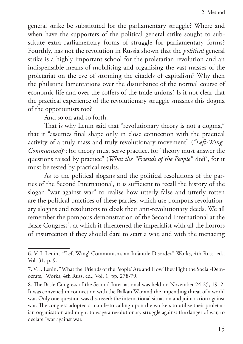general strike be substituted for the parliamentary struggle? Where and when have the supporters of the political general strike sought to substitute extra-parliamentary forms of struggle for parliamentary forms? Fourthly, has not the revolution in Russia shown that the *political* general strike is a highly important school for the proletarian revolution and an indispensable means of mobilising and organising the vast masses of the proletariat on the eve of storming the citadels of capitalism? Why then the philistine lamentations over the disturbance of the normal course of economic life and over the coffers of the trade unions? Is it not clear that the practical experience of the revolutionary struggle smashes this dogma of the opportunists too?

And so on and so forth.

That is why Lenin said that "revolutionary theory is not a dogma," that it "assumes final shape only in close connection with the practical activity of a truly mass and truly revolutionary movement" (*"Left-Wing" Communism*) 6 ; for theory must serve practice, for "theory must answer the questions raised by practice" (*What the "Friends of the People" Are*) 7 , for it must be tested by practical results.

As to the political slogans and the political resolutions of the parties of the Second International, it is sufficient to recall the history of the slogan "war against war" to realise how utterly false and utterly rotten are the political practices of these parties, which use pompous revolutionary slogans and resolutions to cloak their anti-revolutionary deeds. We all remember the pompous demonstration of the Second International at the Basle Congress<sup>8</sup>, at which it threatened the imperialist with all the horrors of insurrection if they should dare to start a war, and with the menacing

<sup>6.</sup> V. I. Lenin, "'Left-Wing' Communism, an Infantile Disorder," Works, 4th Russ. ed., Vol. 31, p. 9.

<sup>7.</sup> V. I. Lenin, "What the 'Friends of the People' Are and How They Fight the Social-Democrats," Works, 4th Russ. ed., Vol. 1, pp. 278-79.

<sup>8.</sup> The Basle Congress of the Second International was held on November 24-25, 1912. It was convened in connection with the Balkan War and the impending threat of a world war. Only one question was discussed: the international situation and joint action against war. The congress adopted a manifesto calling upon the workers to utilise their proletarian organisation and might to wage a revolutionary struggle against the danger of war, to declare "war against war."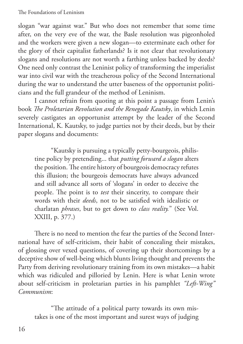slogan "war against war." But who does not remember that some time after, on the very eve of the war, the Basle resolution was pigeonholed and the workers were given a new slogan—to exterminate each other for the glory of their capitalist fatherlands? Is it not clear that revolutionary slogans and resolutions are not worth a farthing unless backed by deeds? One need only contrast the Leninist policy of transforming the imperialist war into civil war with the treacherous policy of the Second International during the war to understand the utter baseness of the opportunist politicians and the full grandeur of the method of Leninism.

I cannot refrain from quoting at this point a passage from Lenin's book *The Proletarian Revolution and the Renegade Kautsky*, in which Lenin severely castigates an opportunist attempt by the leader of the Second International, K. Kautsky, to judge parties not by their deeds, but by their paper slogans and documents:

"Kautsky is pursuing a typically petty-bourgeois, philistine policy by pretending... that *putting forward a slogan* alters the position. The entire history of bourgeois democracy refutes this illusion; the bourgeois democrats have always advanced and still advance all sorts of 'slogans' in order to deceive the people. The point is to *test* their sincerity, to compare their words with their *deeds*, not to be satisfied with idealistic or charlatan *phrases*, but to get down to *class reality.*" (See Vol. XXIII, p. 377.)

There is no need to mention the fear the parties of the Second International have of self-criticism, their habit of concealing their mistakes, of glossing over vexed questions, of covering up their shortcomings by a deceptive show of well-being which blunts living thought and prevents the Party from deriving revolutionary training from its own mistakes—a habit which was ridiculed and pilloried by Lenin. Here is what Lenin wrote about self-criticism in proletarian parties in his pamphlet *"Left-Wing" Communism*:

"The attitude of a political party towards its own mistakes is one of the most important and surest ways of judging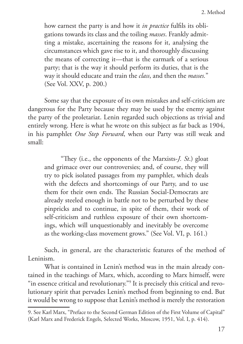how earnest the party is and how it *in practice* fulfils its obligations towards its class and the toiling *masses*. Frankly admitting a mistake, ascertaining the reasons for it, analysing the circumstances which gave rise to it, and thoroughly discussing the means of correcting it—that is the earmark of a serious party; that is the way it should perform its duties, that is the way it should educate and train the *class*, and then the *masses.*" (See Vol. XXV, p. 200.)

Some say that the exposure of its own mistakes and self-criticism are dangerous for the Party because they may be used by the enemy against the party of the proletariat. Lenin regarded such objections as trivial and entirely wrong. Here is what he wrote on this subject as far back as 1904, in his pamphlet *One Step Forward*, when our Party was still weak and small:

"They (i.e., the opponents of the Marxists-*J. St*.) gloat and grimace over our controversies; and, of course, they will try to pick isolated passages from my pamphlet, which deals with the defects and shortcomings of our Party, and to use them for their own ends. The Russian Social-Democrats are already steeled enough in battle not to be perturbed by these pinpricks and to continue, in spite of them, their work of self-criticism and ruthless exposure of their own shortcomings, which will unquestionably and inevitably be overcome as the working-class movement grows." (See Vol. VI, p. 161.)

Such, in general, are the characteristic features of the method of Leninism.

What is contained in Lenin's method was in the main already contained in the teachings of Marx, which, according to Marx himself, were "in essence critical and revolutionary."9 It is precisely this critical and revolutionary spirit that pervades Lenin's method from beginning to end. But it would be wrong to suppose that Lenin's method is merely the restoration

<sup>9.</sup> See Karl Marx, "Preface to the Second German Edition of the First Volume of Capital" (Karl Marx and Frederick Engels, Selected Works, Moscow, 1951, Vol. I, p. 414).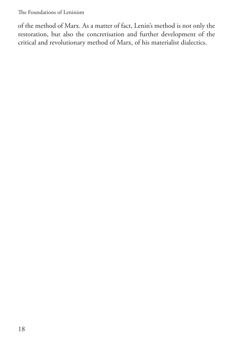The Foundations of Leninism

of the method of Marx. As a matter of fact, Lenin's method is not only the restoration, but also the concretisation and further development of the critical and revolutionary method of Marx, of his materialist dialectics.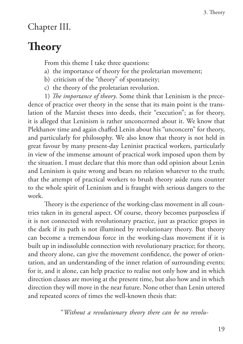#### Chapter III.

## **Theory**

From this theme I take three questions:

- a) the importance of theory for the proletarian movement;
- b) criticism of the "theory" of spontaneity;
- c) the theory of the proletarian revolution.

1) *The importance of theory*. Some think that Leninism is the precedence of practice over theory in the sense that its main point is the translation of the Marxist theses into deeds, their "execution"; as for theory, it is alleged that Leninism is rather unconcerned about it. We know that Plekhanov time and again chaffed Lenin about his "unconcern" for theory, and particularly for philosophy. We also know that theory is not held in great favour by many present-day Leninist practical workers, particularly in view of the immense amount of practical work imposed upon them by the situation. I must declare that this more than odd opinion about Lenin and Leninism is quite wrong and bears no relation whatever to the truth; that the attempt of practical workers to brush theory aside runs counter to the whole spirit of Leninism and is fraught with serious dangers to the work.

Theory is the experience of the working-class movement in all countries taken in its general aspect. Of course, theory becomes purposeless if it is not connected with revolutionary practice, just as practice gropes in the dark if its path is not illumined by revolutionary theory. But theory can become a tremendous force in the working-class movement if it is built up in indissoluble connection with revolutionary practice; for theory, and theory alone, can give the movement confidence, the power of orientation, and an understanding of the inner relation of surrounding events; for it, and it alone, can help practice to realise not only how and in which direction classes are moving at the present time, but also how and in which direction they will move in the near future. None other than Lenin uttered and repeated scores of times the well-known thesis that:

"*Without a revolutionary theory there can be no revolu-*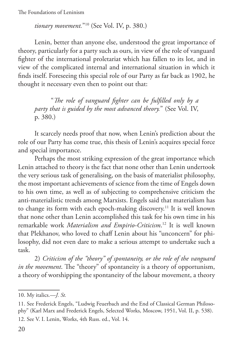The Foundations of Leninism

*tionary movement.*"10 (See Vol. IV, p. 380.)

Lenin, better than anyone else, understood the great importance of theory, particularly for a party such as ours, in view of the role of vanguard fighter of the international proletariat which has fallen to its lot, and in view of the complicated internal and international situation in which it finds itself. Foreseeing this special role of our Party as far back as 1902, he thought it necessary even then to point out that:

"*The role of vanguard fighter can be fulfilled only by a party that is guided by the most advanced theory.*" (See Vol. IV, p. 380.)

It scarcely needs proof that now, when Lenin's prediction about the role of our Party has come true, this thesis of Lenin's acquires special force and special importance.

Perhaps the most striking expression of the great importance which Lenin attached to theory is the fact that none other than Lenin undertook the very serious task of generalising, on the basis of materialist philosophy, the most important achievements of science from the time of Engels down to his own time, as well as of subjecting to comprehensive criticism the anti-materialistic trends among Marxists. Engels said that materialism has to change its form with each epoch-making discovery.11 It is well known that none other than Lenin accomplished this task for his own time in his remarkable work *Materialism and Empirio-Criticism*. 12 It is well known that Plekhanov, who loved to chaff Lenin about his "unconcern" for philosophy, did not even dare to make a serious attempt to undertake such a task.

2) *Criticism of the "theory" of spontaneity, or the role of the vanguard in the movement*. The "theory" of spontaneity is a theory of opportunism, a theory of worshipping the spontaneity of the labour movement, a theory

12. See V. I. Lenin, Works, 4th Russ. ed., Vol. 14.

<sup>10.</sup> My italics.—*J. St.*

<sup>11.</sup> See Frederick Engels, "Ludwig Feuerbach and the End of Classical German Philosophy" (Karl Marx and Frederick Engels, Selected Works, Moscow, 1951, Vol. II, p. 538).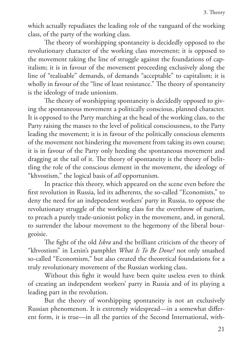which actually repudiates the leading role of the vanguard of the working class, of the party of the working class.

The theory of worshipping spontaneity is decidedly opposed to the revolutionary character of the working class movement; it is opposed to the movement taking the line of struggle against the foundations of capitalism; it is in favour of the movement proceeding exclusively along the line of "realisable" demands, of demands "acceptable" to capitalism; it is wholly in favour of the "line of least resistance." The theory of spontaneity is the ideology of trade unionism.

The theory of worshipping spontaneity is decidedly opposed to giving the spontaneous movement a politically conscious, planned character. It is opposed to the Party marching at the head of the working class, to the Party raising the masses to the level of political consciousness, to the Party leading the movement; it is in favour of the politically conscious elements of the movement not hindering the movement from taking its own course; it is in favour of the Party only heeding the spontaneous movement and dragging at the tail of it. The theory of spontaneity is the theory of belittling the role of the conscious element in the movement, the ideology of "khvostism," the logical basis of *all* opportunism.

In practice this theory, which appeared on the scene even before the first revolution in Russia, led its adherents, the so-called "Economists," to deny the need for an independent workers' party in Russia, to oppose the revolutionary struggle of the working class for the overthrow of tsarism, to preach a purely trade-unionist policy in the movement, and, in general, to surrender the labour movement to the hegemony of the liberal bourgeoisie.

The fight of the old *Iskra* and the brilliant criticism of the theory of "khvostism" in Lenin's pamphlet *What Is To Be Done?* not only smashed so-called "Economism," but also created the theoretical foundations for a truly revolutionary movement of the Russian working class.

Without this fight it would have been quite useless even to think of creating an independent workers' party in Russia and of its playing a leading part in the revolution.

But the theory of worshipping spontaneity is not an exclusively Russian phenomenon. It is extremely widespread—in a somewhat different form, it is true—in all the parties of the Second International, with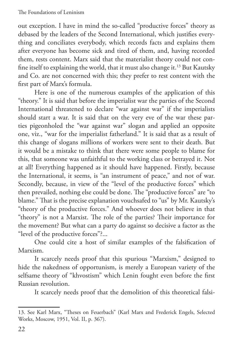out exception. I have in mind the so-called "productive forces" theory as debased by the leaders of the Second International, which justifies everything and conciliates everybody, which records facts and explains them after everyone has become sick and tired of them, and, having recorded them, rests content. Marx said that the materialist theory could not confine itself to explaining the world, that it must also change it.13 But Kautsky and Co. are not concerned with this; they prefer to rest content with the first part of Marx's formula.

Here is one of the numerous examples of the application of this "theory." It is said that before the imperialist war the parties of the Second International threatened to declare "war against war" if the imperialists should start a war. It is said that on the very eve of the war these parties pigeonholed the "war against war" slogan and applied an opposite one, viz., "war for the imperialist fatherland." It is said that as a result of this change of slogans millions of workers were sent to their death. But it would be a mistake to think that there were some people to blame for this, that someone was unfaithful to the working class or betrayed it. Not at all! Everything happened as it should have happened. Firstly, because the International, it seems, is "an instrument of peace," and not of war. Secondly, because, in view of the "level of the productive forces" which then prevailed, nothing else could be done. The "productive forces" are "to blame." That is the precise explanation vouchsafed to "us" by Mr. Kautsky's "theory of the productive forces." And whoever does not believe in that "theory" is not a Marxist. The role of the parties? Their importance for the movement? But what can a party do against so decisive a factor as the "level of the productive forces"?...

One could cite a host of similar examples of the falsification of Marxism.

It scarcely needs proof that this spurious "Marxism," designed to hide the nakedness of opportunism, is merely a European variety of the selfsame theory of "khvostism" which Lenin fought even before the first Russian revolution.

It scarcely needs proof that the demolition of this theoretical falsi-

<sup>13.</sup> See Karl Marx, "Theses on Feuerbach" (Karl Marx and Frederick Engels, Selected Works, Moscow, 1951, Vol. II, p. 367).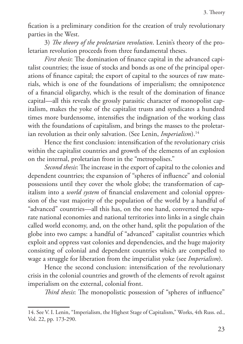fication is a preliminary condition for the creation of truly revolutionary parties in the West.

3) *The theory of the proletarian revolution*. Lenin's theory of the proletarian revolution proceeds from three fundamental theses.

*First thesis*: The domination of finance capital in the advanced capitalist countries; the issue of stocks and bonds as one of the principal operations of finance capital; the export of capital to the sources of raw materials, which is one of the foundations of imperialism; the omnipotence of a financial oligarchy, which is the result of the domination of finance capital—all this reveals the grossly parasitic character of monopolist capitalism, makes the yoke of the capitalist trusts and syndicates a hundred times more burdensome, intensifies the indignation of the working class with the foundations of capitalism, and brings the masses to the proletarian revolution as their only salvation. (See Lenin, *Imperialism*).<sup>14</sup>

Hence the first conclusion: intensification of the revolutionary crisis within the capitalist countries and growth of the elements of an explosion on the internal, proletarian front in the "metropolises."

*Second thesis*: The increase in the export of capital to the colonies and dependent countries; the expansion of "spheres of influence" and colonial possessions until they cover the whole globe; the transformation of capitalism into a *world system* of financial enslavement and colonial oppression of the vast majority of the population of the world by a handful of "advanced" countries—all this has, on the one hand, converted the separate national economies and national territories into links in a single chain called world economy, and, on the other hand, split the population of the globe into two camps: a handful of "advanced" capitalist countries which exploit and oppress vast colonies and dependencies, and the huge majority consisting of colonial and dependent countries which are compelled to wage a struggle for liberation from the imperialist yoke (see *Imperialism*).

Hence the second conclusion: intensification of the revolutionary crisis in the colonial countries and growth of the elements of revolt against imperialism on the external, colonial front.

*Third thesis*: The monopolistic possession of "spheres of influence"

<sup>14.</sup> See V. I. Lenin, "Imperialism, the Highest Stage of Capitalism," Works, 4th Russ. ed., Vol. 22, pp. 173-290.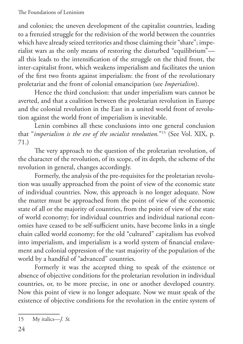and colonies; the uneven development of the capitalist countries, leading to a frenzied struggle for the redivision of the world between the countries which have already seized territories and those claiming their "share"; imperialist wars as the only means of restoring the disturbed "equilibrium" all this leads to the intensification of the struggle on the third front, the inter-capitalist front, which weakens imperialism and facilitates the union of the first two fronts against imperialism: the front of the revolutionary proletariat and the front of colonial emancipation (see *Imperialism*).

Hence the third conclusion: that under imperialism wars cannot be averted, and that a coalition between the proletarian revolution in Europe and the colonial revolution in the East in a united world front of revolution against the world front of imperialism is inevitable.

Lenin combines all these conclusions into one general conclusion that "*imperialism is the eve of the socialist revolution.*"15 (See Vol. XIX, p. 71.)

The very approach to the question of the proletarian revolution, of the character of the revolution, of its scope, of its depth, the scheme of the revolution in general, changes accordingly.

Formerly, the analysis of the pre-requisites for the proletarian revolution was usually approached from the point of view of the economic state of individual countries. Now, this approach is no longer adequate. Now the matter must be approached from the point of view of the economic state of all or the majority of countries, from the point of view of the state of world economy; for individual countries and individual national economies have ceased to be self-sufficient units, have become links in a single chain called world economy; for the old "cultured" capitalism has evolved into imperialism, and imperialism is a world system of financial enslavement and colonial oppression of the vast majority of the population of the world by a handful of "advanced" countries.

Formerly it was the accepted thing to speak of the existence or absence of objective conditions for the proletarian revolution in individual countries, or, to be more precise, in one or another developed country. Now this point of view is no longer adequate. Now we must speak of the existence of objective conditions for the revolution in the entire system of

<sup>15</sup> My italics—*J. St.*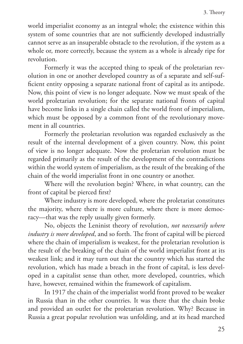world imperialist economy as an integral whole; the existence within this system of some countries that are not sufficiently developed industrially cannot serve as an insuperable obstacle to the revolution, if the system as a whole or, more correctly, because the system as a whole is already ripe for revolution.

Formerly it was the accepted thing to speak of the proletarian revolution in one or another developed country as of a separate and self-sufficient entity opposing a separate national front of capital as its antipode. Now, this point of view is no longer adequate. Now we must speak of the world proletarian revolution; for the separate national fronts of capital have become links in a single chain called the world front of imperialism, which must be opposed by a common front of the revolutionary movement in all countries.

Formerly the proletarian revolution was regarded exclusively as the result of the internal development of a given country. Now, this point of view is no longer adequate. Now the proletarian revolution must be regarded primarily as the result of the development of the contradictions within the world system of imperialism, as the result of the breaking of the chain of the world imperialist front in one country or another.

Where will the revolution begin? Where, in what country, can the front of capital be pierced first?

Where industry is more developed, where the proletariat constitutes the majority, where there is more culture, where there is more democracy—that was the reply usually given formerly.

No, objects the Leninist theory of revolution, *not necessarily where industry is more developed*, and so forth. The front of capital will be pierced where the chain of imperialism is weakest, for the proletarian revolution is the result of the breaking of the chain of the world imperialist front at its weakest link; and it may turn out that the country which has started the revolution, which has made a breach in the front of capital, is less developed in a capitalist sense than other, more developed, countries, which have, however, remained within the framework of capitalism.

In 1917 the chain of the imperialist world front proved to be weaker in Russia than in the other countries. It was there that the chain broke and provided an outlet for the proletarian revolution. Why? Because in Russia a great popular revolution was unfolding, and at its head marched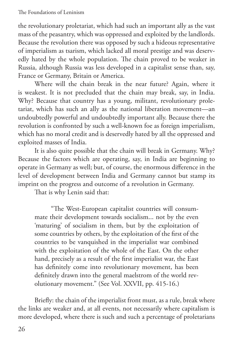the revolutionary proletariat, which had such an important ally as the vast mass of the peasantry, which was oppressed and exploited by the landlords. Because the revolution there was opposed by such a hideous representative of imperialism as tsarism, which lacked all moral prestige and was deservedly hated by the whole population. The chain proved to be weaker in Russia, although Russia was less developed in a capitalist sense than, say, France or Germany, Britain or America.

Where will the chain break in the near future? Again, where it is weakest. It is not precluded that the chain may break, say, in India. Why? Because that country has a young, militant, revolutionary proletariat, which has such an ally as the national liberation movement—an undoubtedly powerful and undoubtedly important ally. Because there the revolution is confronted by such a well-known foe as foreign imperialism, which has no moral credit and is deservedly hated by all the oppressed and exploited masses of India.

It is also quite possible that the chain will break in Germany. Why? Because the factors which are operating, say, in India are beginning to operate in Germany as well; but, of course, the enormous difference in the level of development between India and Germany cannot but stamp its imprint on the progress and outcome of a revolution in Germany.

That is why Lenin said that:

"The West-European capitalist countries will consummate their development towards socialism... not by the even 'maturing' of socialism in them, but by the exploitation of some countries by others, by the exploitation of the first of the countries to be vanquished in the imperialist war combined with the exploitation of the whole of the East. On the other hand, precisely as a result of the first imperialist war, the East has definitely come into revolutionary movement, has been definitely drawn into the general maelstrom of the world revolutionary movement." (See Vol. XXVII, pp. 415-16.)

Briefly: the chain of the imperialist front must, as a rule, break where the links are weaker and, at all events, not necessarily where capitalism is more developed, where there is such and such a percentage of proletarians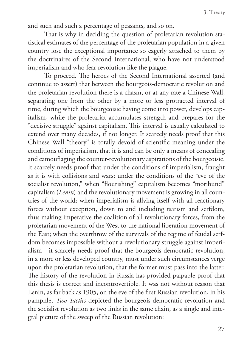and such and such a percentage of peasants, and so on.

That is why in deciding the question of proletarian revolution statistical estimates of the percentage of the proletarian population in a given country lose the exceptional importance so eagerly attached to them by the doctrinaires of the Second International, who have not understood imperialism and who fear revolution like the plague.

To proceed. The heroes of the Second International asserted (and continue to assert) that between the bourgeois-democratic revolution and the proletarian revolution there is a chasm, or at any rate a Chinese Wall, separating one from the other by a more or less protracted interval of time, during which the bourgeoisie having come into power, develops capitalism, while the proletariat accumulates strength and prepares for the "decisive struggle" against capitalism. This interval is usually calculated to extend over many decades, if not longer. It scarcely needs proof that this Chinese Wall "theory" is totally devoid of scientific meaning under the conditions of imperialism, that it is and can be only a means of concealing and camouflaging the counter-revolutionary aspirations of the bourgeoisie. It scarcely needs proof that under the conditions of imperialism, fraught as it is with collisions and wars; under the conditions of the "eve of the socialist revolution," when "flourishing" capitalism becomes "moribund" capitalism (*Lenin*) and the revolutionary movement is growing in all countries of the world; when imperialism is allying itself with all reactionary forces without exception, down to and including tsarism and serfdom, thus making imperative the coalition of all revolutionary forces, from the proletarian movement of the West to the national liberation movement of the East; when the overthrow of the survivals of the regime of feudal serfdom becomes impossible without a revolutionary struggle against imperialism—it scarcely needs proof that the bourgeois-democratic revolution, in a more or less developed country, must under such circumstances verge upon the proletarian revolution, that the former must pass into the latter. The history of the revolution in Russia has provided palpable proof that this thesis is correct and incontrovertible. It was not without reason that Lenin, as far back as 1905, on the eve of the first Russian revolution, in his pamphlet *Two Tactics* depicted the bourgeois-democratic revolution and the socialist revolution as two links in the same chain, as a single and integral picture of the sweep of the Russian revolution: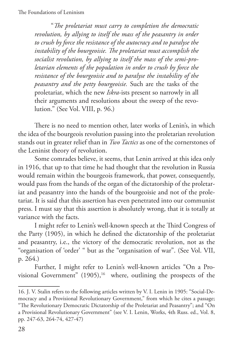"*The proletariat must carry to completion the democratic revolution, by allying to itself the mass of the peasantry in order to crush by force the resistance of the autocracy and to paralyse the instability of the bourgeoisie. The proletariat must accomplish the socialist revolution, by allying to itself the mass of the semi-proletarian elements of the population in order to crush by force the resistance of the bourgeoisie and to paralyse the instability of the peasantry and the petty bourgeoisie.* Such are the tasks of the proletariat, which the new *Iskra*-ists present so narrowly in all their arguments and resolutions about the sweep of the revolution." (See Vol. VIII, p. 96.)

There is no need to mention other, later works of Lenin's, in which the idea of the bourgeois revolution passing into the proletarian revolution stands out in greater relief than in *Two Tactics* as one of the cornerstones of the Leninist theory of revolution.

Some comrades believe, it seems, that Lenin arrived at this idea only in 1916, that up to that time he had thought that the revolution in Russia would remain within the bourgeois framework, that power, consequently, would pass from the hands of the organ of the dictatorship of the proletariat and peasantry into the hands of the bourgeoisie and not of the proletariat. It is said that this assertion has even penetrated into our communist press. I must say that this assertion is absolutely wrong, that it is totally at variance with the facts.

I might refer to Lenin's well-known speech at the Third Congress of the Party (1905), in which he defined the dictatorship of the proletariat and peasantry, i.e., the victory of the democratic revolution, not as the "organisation of 'order' " but as the "organisation of war". (See Vol. VII, p. 264.)

Further, I might refer to Lenin's well-known articles "On a Provisional Government" (1905),<sup>16</sup> where, outlining the prospects of the

<sup>16.</sup> J. V. Stalin refers to the following articles written by V. I. Lenin in 1905: "Social-Democracy and a Provisional Revolutionary Government," from which he cites a passage; "The Revolutionary Democratic Dictatorship of the Proletariat and Peasantry"; and "On a Provisional Revolutionary Government" (see V. I. Lenin, Works, 4th Russ. ed., Vol. 8, pp. 247-63, 264-74, 427-47)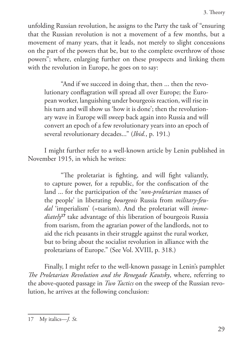unfolding Russian revolution, he assigns to the Party the task of "ensuring that the Russian revolution is not a movement of a few months, but a movement of many years, that it leads, not merely to slight concessions on the part of the powers that be, but to the complete overthrow of those powers"; where, enlarging further on these prospects and linking them with the revolution in Europe, he goes on to say:

"And if we succeed in doing that, then ... then the revolutionary conflagration will spread all over Europe; the European worker, languishing under bourgeois reaction, will rise in his turn and will show us 'how it is done'; then the revolutionary wave in Europe will sweep back again into Russia and will convert an epoch of a few revolutionary years into an epoch of several revolutionary decades..." (*Ibid.*, p. 191.)

I might further refer to a well-known article by Lenin published in November 1915, in which he writes:

"The proletariat is fighting, and will fight valiantly, to capture power, for a republic, for the confiscation of the land ... for the participation of the '*non-proletarian* masses of the people' in liberating *bourgeois* Russia from *military-feudal* 'imperialism' (=tsarism). And the proletariat will *immediately*17 take advantage of this liberation of bourgeois Russia from tsarism, from the agrarian power of the landlords, not to aid the rich peasants in their struggle against the rural worker, but to bring about the socialist revolution in alliance with the proletarians of Europe." (See Vol. XVIII, p. 318.)

Finally, I might refer to the well-known passage in Lenin's pamphlet *The Proletarian Revolution and the Renegade Kautsky*, where, referring to the above-quoted passage in *Two Tactics* on the sweep of the Russian revolution, he arrives at the following conclusion:

<sup>17</sup> My italics—*J. St.*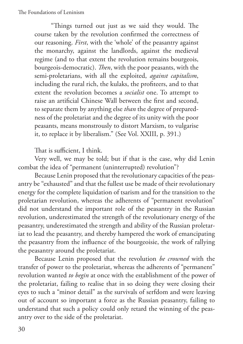"Things turned out just as we said they would. The course taken by the revolution confirmed the correctness of our reasoning. *First*, with the 'whole' of the peasantry against the monarchy, against the landlords, against the medieval regime (and to that extent the revolution remains bourgeois, bourgeois-democratic). *Then*, with the poor peasants, with the semi-proletarians, with all the exploited, *against capitalism*, including the rural rich, the kulaks, the profiteers, and to that extent the revolution becomes a *socialist* one. To attempt to raise an artificial Chinese Wall between the first and second, to separate them by anything else *than* the degree of preparedness of the proletariat and the degree of its unity with the poor peasants, means monstrously to distort Marxism, to vulgarise it, to replace it by liberalism." (See Vol. XXIII, p. 391.)

That is sufficient, I think.

Very well, we may be told; but if that is the case, why did Lenin combat the idea of "permanent (uninterrupted) revolution"?

Because Lenin proposed that the revolutionary capacities of the peasantry be "exhausted" and that the fullest use be made of their revolutionary energy for the complete liquidation of tsarism and for the transition to the proletarian revolution, whereas the adherents of "permanent revolution" did not understand the important role of the peasantry in the Russian revolution, underestimated the strength of the revolutionary energy of the peasantry, underestimated the strength and ability of the Russian proletariat to lead the peasantry, and thereby hampered the work of emancipating the peasantry from the influence of the bourgeoisie, the work of rallying the peasantry around the proletariat.

Because Lenin proposed that the revolution *be crowned* with the transfer of power to the proletariat, whereas the adherents of "permanent" revolution wanted *to begin* at once with the establishment of the power of the proletariat, failing to realise that in so doing they were closing their eyes to such a "minor detail" as the survivals of serfdom and were leaving out of account so important a force as the Russian peasantry, failing to understand that such a policy could only retard the winning of the peasantry over to the side of the proletariat.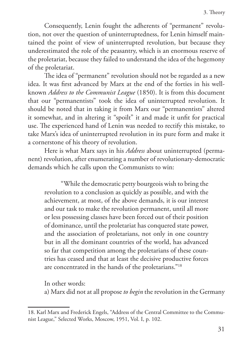Consequently, Lenin fought the adherents of "permanent" revolution, not over the question of uninterruptedness, for Lenin himself maintained the point of view of uninterrupted revolution, but because they underestimated the role of the peasantry, which is an enormous reserve of the proletariat, because they failed to understand the idea of the hegemony of the proletariat.

The idea of "permanent" revolution should not be regarded as a new idea. It was first advanced by Marx at the end of the forties in his wellknown *Address to the Communist League* (1850). It is from this document that our "permanentists" took the idea of uninterrupted revolution. It should be noted that in taking it from Marx our "permanentists" altered it somewhat, and in altering it "spoilt" it and made it unfit for practical use. The experienced hand of Lenin was needed to rectify this mistake, to take Marx's idea of uninterrupted revolution in its pure form and make it a cornerstone of his theory of revolution.

Here is what Marx says in his *Address* about uninterrupted (permanent) revolution, after enumerating a number of revolutionary-democratic demands which he calls upon the Communists to win:

"While the democratic petty bourgeois wish to bring the revolution to a conclusion as quickly as possible, and with the achievement, at most, of the above demands, it is our interest and our task to make the revolution permanent, until all more or less possessing classes have been forced out of their position of dominance, until the proletariat has conquered state power, and the association of proletarians, not only in one country but in all the dominant countries of the world, has advanced so far that competition among the proletarians of these countries has ceased and that at least the decisive productive forces are concentrated in the hands of the proletarians."18

In other words:

a) Marx did not at all propose *to begin* the revolution in the Germany

<sup>18.</sup> Karl Marx and Frederick Engels, "Address of the Central Committee to the Communist League," Selected Works, Moscow, 1951, Vol. I, p. 102.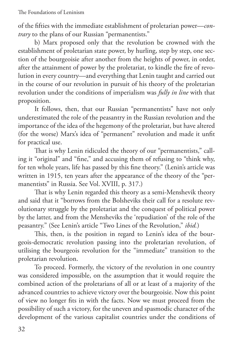of the fifties with the immediate establishment of proletarian power—*contrary* to the plans of our Russian "permanentists."

b) Marx proposed only that the revolution be crowned with the establishment of proletarian state power, by hurling, step by step, one section of the bourgeoisie after another from the heights of power, in order, after the attainment of power by the proletariat, to kindle the fire of revolution in every country—and everything that Lenin taught and carried out in the course of our revolution in pursuit of his theory of the proletarian revolution under the conditions of imperialism was *fully in line* with that proposition.

It follows, then, that our Russian "permanentists" have not only underestimated the role of the peasantry in the Russian revolution and the importance of the idea of the hegemony of the proletariat, but have altered (for the worse) Marx's idea of "permanent" revolution and made it unfit for practical use.

That is why Lenin ridiculed the theory of our "permanentists," calling it "original" and "fine," and accusing them of refusing to "think why, for ten whole years, life has passed by this fine theory." (Lenin's article was written in 1915, ten years after the appearance of the theory of the "permanentists" in Russia. See Vol. XVIII, p. 317.)

That is why Lenin regarded this theory as a semi-Menshevik theory and said that it "borrows from the Bolsheviks their call for a resolute revolutionary struggle by the proletariat and the conquest of political power by the latter, and from the Mensheviks the 'repudiation' of the role of the peasantry." (See Lenin's article "Two Lines of the Revolution," *ibid.*)

This, then, is the position in regard to Lenin's idea of the bourgeois-democratic revolution passing into the proletarian revolution, of utilising the bourgeois revolution for the "immediate" transition to the proletarian revolution.

To proceed. Formerly, the victory of the revolution in one country was considered impossible, on the assumption that it would require the combined action of the proletarians of all or at least of a majority of the advanced countries to achieve victory over the bourgeoisie. Now this point of view no longer fits in with the facts. Now we must proceed from the possibility of such a victory, for the uneven and spasmodic character of the development of the various capitalist countries under the conditions of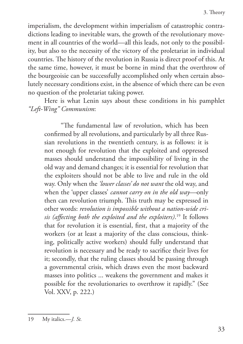imperialism, the development within imperialism of catastrophic contradictions leading to inevitable wars, the growth of the revolutionary movement in all countries of the world—all this leads, not only to the possibility, but also to the necessity of the victory of the proletariat in individual countries. The history of the revolution in Russia is direct proof of this. At the same time, however, it must be borne in mind that the overthrow of the bourgeoisie can be successfully accomplished only when certain absolutely necessary conditions exist, in the absence of which there can be even no question of the proletariat taking power.

Here is what Lenin says about these conditions in his pamphlet *"Left-Wing" Communism*:

"The fundamental law of revolution, which has been confirmed by all revolutions, and particularly by all three Russian revolutions in the twentieth century, is as follows: it is not enough for revolution that the exploited and oppressed masses should understand the impossibility of living in the old way and demand changes; it is essential for revolution that the exploiters should not be able to live and rule in the old way. Only when the *'lower classes' do not want* the old way, and when the 'upper classes' *cannot carry on in the old way—*only then can revolution triumph. This truth may be expressed in other words: *revolution is impossible without a nation-wide crisis (affecting both the exploited and the exploiters)*. 19 It follows that for revolution it is essential, first, that a majority of the workers (or at least a majority of the class conscious, thinking, politically active workers) should fully understand that revolution is necessary and be ready to sacrifice their lives for it; secondly, that the ruling classes should be passing through a governmental crisis, which draws even the most backward masses into politics ... weakens the government and makes it possible for the revolutionaries to overthrow it rapidly." (See Vol. XXV, p. 222.)

<sup>19</sup> My italics.—*J. St.*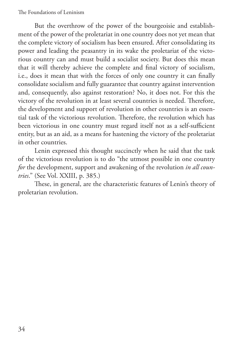But the overthrow of the power of the bourgeoisie and establishment of the power of the proletariat in one country does not yet mean that the complete victory of socialism has been ensured. After consolidating its power and leading the peasantry in its wake the proletariat of the victorious country can and must build a socialist society. But does this mean that it will thereby achieve the complete and final victory of socialism, i.e., does it mean that with the forces of only one country it can finally consolidate socialism and fully guarantee that country against intervention and, consequently, also against restoration? No, it does not. For this the victory of the revolution in at least several countries is needed. Therefore, the development and support of revolution in other countries is an essential task of the victorious revolution. Therefore, the revolution which has been victorious in one country must regard itself not as a self-sufficient entity, but as an aid, as a means for hastening the victory of the proletariat in other countries.

Lenin expressed this thought succinctly when he said that the task of the victorious revolution is to do "the utmost possible in one country *for* the development, support and awakening of the revolution *in all countries*." (See Vol. XXIII, p. 385.)

These, in general, are the characteristic features of Lenin's theory of proletarian revolution.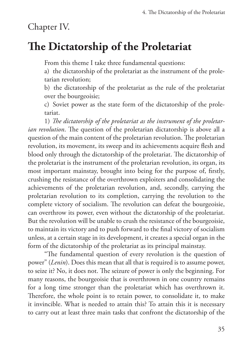#### Chapter IV.

## **The Dictatorship of the Proletariat**

From this theme I take three fundamental questions:

a) the dictatorship of the proletariat as the instrument of the proletarian revolution;

b) the dictatorship of the proletariat as the rule of the proletariat over the bourgeoisie;

c) Soviet power as the state form of the dictatorship of the proletariat.

1) *The dictatorship of the proletariat as the instrument of the proletarian revolution*. The question of the proletarian dictatorship is above all a question of the main content of the proletarian revolution. The proletarian revolution, its movement, its sweep and its achievements acquire flesh and blood only through the dictatorship of the proletariat. The dictatorship of the proletariat is the instrument of the proletarian revolution, its organ, its most important mainstay, brought into being for the purpose of, firstly, crushing the resistance of the overthrown exploiters and consolidating the achievements of the proletarian revolution, and, secondly, carrying the proletarian revolution to its completion, carrying the revolution to the complete victory of socialism. The revolution can defeat the bourgeoisie, can overthrow its power, even without the dictatorship of the proletariat. But the revolution will be unable to crush the resistance of the bourgeoisie, to maintain its victory and to push forward to the final victory of socialism unless, at a certain stage in its development, it creates a special organ in the form of the dictatorship of the proletariat as its principal mainstay.

"The fundamental question of every revolution is the question of power" (*Lenin*). Does this mean that all that is required is to assume power, to seize it? No, it does not. The seizure of power is only the beginning. For many reasons, the bourgeoisie that is overthrown in one country remains for a long time stronger than the proletariat which has overthrown it. Therefore, the whole point is to retain power, to consolidate it, to make it invincible. What is needed to attain this? To attain this it is necessary to carry out at least three main tasks that confront the dictatorship of the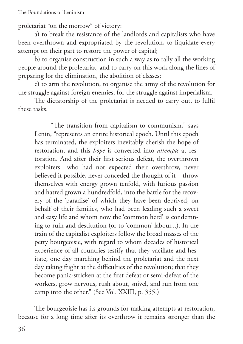The Foundations of Leninism

proletariat "on the morrow" of victory:

a) to break the resistance of the landlords and capitalists who have been overthrown and expropriated by the revolution, to liquidate every attempt on their part to restore the power of capital;

b) to organise construction in such a way as to rally all the working people around the proletariat, and to carry on this work along the lines of preparing for the elimination, the abolition of classes;

c) to arm the revolution, to organise the army of the revolution for the struggle against foreign enemies, for the struggle against imperialism.

The dictatorship of the proletariat is needed to carry out, to fulfil these tasks.

"The transition from capitalism to communism," says Lenin, "represents an entire historical epoch. Until this epoch has terminated, the exploiters inevitably cherish the hope of restoration, and this *hope* is converted into *attempts* at restoration. And after their first serious defeat, the overthrown exploiters—who had not expected their overthrow, never believed it possible, never conceded the thought of it—throw themselves with energy grown tenfold, with furious passion and hatred grown a hundredfold, into the battle for the recovery of the 'paradise' of which they have been deprived, on behalf of their families, who had been leading such a sweet and easy life and whom now the 'common herd' is condemning to ruin and destitution (or to 'common' labour...). In the train of the capitalist exploiters follow the broad masses of the petty bourgeoisie, with regard to whom decades of historical experience of all countries testify that they vacillate and hesitate, one day marching behind the proletariat and the next day taking fright at the difficulties of the revolution; that they become panic-stricken at the first defeat or semi-defeat of the workers, grow nervous, rush about, snivel, and run from one camp into the other." (See Vol. XXIII, p. 355.)

The bourgeoisie has its grounds for making attempts at restoration, because for a long time after its overthrow it remains stronger than the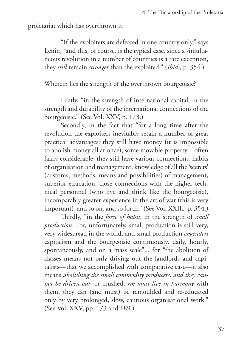proletariat which has overthrown it.

"If the exploiters are defeated in one country only," says Lenin, "and this, of course, is the typical case, since a simultaneous revolution in a number of countries is a rare exception, they *still* remain *stronger* than the exploited." (*Ibid.*, p. 354.)

Wherein lies the strength of the overthrown bourgeoisie?

Firstly, "in the strength of international capital, in the strength and durability of the international connections of the bourgeoisie." (See Vol. XXV, p. 173.)

Secondly, in the fact that "for a long time after the revolution the exploiters inevitably retain a number of great practical advantages: they still have money (it is impossible to abolish money all at once); some movable property—often fairly considerable; they still have various connections, habits of organisation and management, knowledge of all the 'secrets' (customs, methods, means and possibilities) of management, superior education, close connections with the higher technical personnel (who live and think like the bourgeoisie), incomparably greater experience in the art of war (this is very important), and so on, and so forth." (See Vol. XXIII, p. 354.)

Thirdly, "in the *force of habit*, in the strength of *small production*. For, unfortunately, small production is still very, very widespread in the world, and small production *engenders* capitalism and the bourgeoisie continuously, daily, hourly, spontaneously, and on a mass scale"... for "the abolition of classes means not only driving out the landlords and capitalists—that we accomplished with comparative ease—it also means *abolishing the small commodity producers, and they cannot be driven out*, or crushed; we *must live in harmony* with them, they can (and must) be remoulded and re-educated only by very prolonged, slow, cautious organisational work." (See Vol. XXV, pp. 173 and 189.)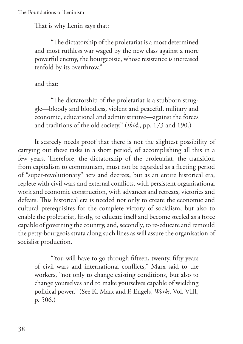That is why Lenin says that:

"The dictatorship of the proletariat is a most determined and most ruthless war waged by the new class against a more powerful enemy, the bourgeoisie, whose resistance is increased tenfold by its overthrow,"

#### and that:

"The dictatorship of the proletariat is a stubborn struggle—bloody and bloodless, violent and peaceful, military and economic, educational and administrative—against the forces and traditions of the old society." (*Ibid.*, pp. 173 and 190.)

It scarcely needs proof that there is not the slightest possibility of carrying out these tasks in a short period, of accomplishing all this in a few years. Therefore, the dictatorship of the proletariat, the transition from capitalism to communism, must not be regarded as a fleeting period of "super-revolutionary" acts and decrees, but as an entire historical era, replete with civil wars and external conflicts, with persistent organisational work and economic construction, with advances and retreats, victories and defeats. This historical era is needed not only to create the economic and cultural prerequisites for the complete victory of socialism, but also to enable the proletariat, firstly, to educate itself and become steeled as a force capable of governing the country, and, secondly, to re-educate and remould the petty-bourgeois strata along such lines as will assure the organisation of socialist production.

"You will have to go through fifteen, twenty, fifty years of civil wars and international conflicts," Marx said to the workers, "not only to change existing conditions, but also to change yourselves and to make yourselves capable of wielding political power." (See K. Marx and F. Engels, *Works*, Vol. VIII, p. 506.)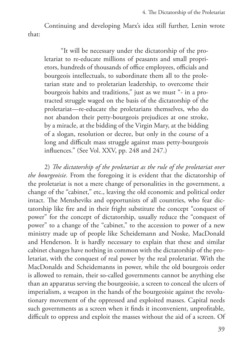Continuing and developing Marx's idea still further, Lenin wrote that:

"It will be necessary under the dictatorship of the proletariat to re-educate millions of peasants and small proprietors, hundreds of thousands of office employees, officials and bourgeois intellectuals, to subordinate them all to the proletarian state and to proletarian leadership, to overcome their bourgeois habits and traditions," just as we must "- in a protracted struggle waged on the basis of the dictatorship of the proletariat—re-educate the proletarians themselves, who do not abandon their petty-bourgeois prejudices at one stroke, by a miracle, at the bidding of the Virgin Mary, at the bidding of a slogan, resolution or decree, but only in the course of a long and difficult mass struggle against mass petty-bourgeois influences." (See Vol. XXV, pp. 248 and 247.)

2) *The dictatorship of the proletariat as the rule of the proletariat over the bourgeoisie*. From the foregoing it is evident that the dictatorship of the proletariat is not a mere change of personalities in the government, a change of the "cabinet," etc., leaving the old economic and political order intact. The Mensheviks and opportunists of all countries, who fear dictatorship like fire and in their fright substitute the concept "conquest of power" for the concept of dictatorship, usually reduce the "conquest of power" to a change of the "cabinet," to the accession to power of a new ministry made up of people like Scheidemann and Noske, MacDonald and Henderson. It is hardly necessary to explain that these and similar cabinet changes have nothing in common with the dictatorship of the proletariat, with the conquest of real power by the real proletariat. With the MacDonalds and Scheidemanns in power, while the old bourgeois order is allowed to remain, their so-called governments cannot be anything else than an apparatus serving the bourgeoisie, a screen to conceal the ulcers of imperialism, a weapon in the hands of the bourgeoisie against the revolutionary movement of the oppressed and exploited masses. Capital needs such governments as a screen when it finds it inconvenient, unprofitable, difficult to oppress and exploit the masses without the aid of a screen. Of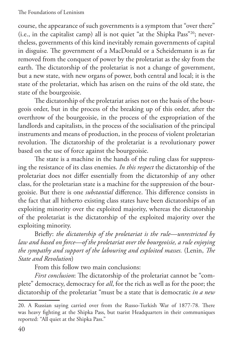course, the appearance of such governments is a symptom that "over there" (i.e., in the capitalist camp) all is not quiet "at the Shipka Pass"20; nevertheless, governments of this kind inevitably remain governments of capital in disguise. The government of a MacDonald or a Scheidemann is as far removed from the conquest of power by the proletariat as the sky from the earth. The dictatorship of the proletariat is not a change of government, but a new state, with new organs of power, both central and local; it is the state of the proletariat, which has arisen on the ruins of the old state, the state of the bourgeoisie.

The dictatorship of the proletariat arises not on the basis of the bourgeois order, but in the process of the breaking up of this order, after the overthrow of the bourgeoisie, in the process of the expropriation of the landlords and capitalists, in the process of the socialisation of the principal instruments and means of production, in the process of violent proletarian revolution. The dictatorship of the proletariat is a revolutionary power based on the use of force against the bourgeoisie.

The state is a machine in the hands of the ruling class for suppressing the resistance of its class enemies. *In this respect* the dictatorship of the proletariat does not differ essentially from the dictatorship of any other class, for the proletarian state is a machine for the suppression of the bourgeoisie. But there is one *substantial* difference. This difference consists in the fact that all hitherto existing class states have been dictatorships of an exploiting minority over the exploited majority, whereas the dictatorship of the proletariat is the dictatorship of the exploited majority over the exploiting minority.

Briefly: *the dictatorship of the proletariat is the rule—unrestricted by law and based on force—of the proletariat over the bourgeoisie, a rule enjoying the sympathy and support of the labouring and exploited masses.* (Lenin, *The State and Revolution*)

From this follow two main conclusions:

*First conclusion*: The dictatorship of the proletariat cannot be "complete" democracy, democracy for *all*, for the rich as well as for the poor; the dictatorship of the proletariat "must be a state that is democratic *in a new* 

<sup>20.</sup> A Russian saying carried over from the Russo-Turkish War of 1877-78. There was heavy fighting at the Shipka Pass, but tsarist Headquarters in their communiques reported: "All quiet at the Shipka Pass."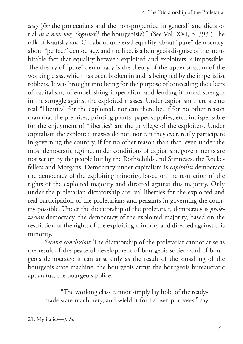*way* (*for* the proletarians and the non-propertied in general) and dictatorial *in a new way (against*21 the bourgeoisie)." (See Vol. XXI, p. 393.) The talk of Kautsky and Co. about universal equality, about "pure" democracy, about "perfect" democracy, and the like, is a bourgeois disguise of the indubitable fact that equality between exploited and exploiters is impossible. The theory of "pure" democracy is the theory of the upper stratum of the working class, which has been broken in and is being fed by the imperialist robbers. It was brought into being for the purpose of concealing the ulcers of capitalism, of embellishing imperialism and lending it moral strength in the struggle against the exploited masses. Under capitalism there are no real "liberties" for the exploited, nor can there be, if for no other reason than that the premises, printing plants, paper supplies, etc., indispensable for the enjoyment of "liberties" are the privilege of the exploiters. Under capitalism the exploited masses do not, nor can they ever, really participate in governing the country, if for no other reason than that, even under the most democratic regime, under conditions of capitalism, governments are not set up by the people but by the Rothschilds and Stinneses, the Rockefellers and Morgans. Democracy under capitalism is *capitalist* democracy, the democracy of the exploiting minority, based on the restriction of the rights of the exploited majority and directed against this majority. Only under the proletarian dictatorship are real liberties for the exploited and real participation of the proletarians and peasants in governing the country possible. Under the dictatorship of the proletariat, democracy is *proletarian* democracy, the democracy of the exploited majority, based on the restriction of the rights of the exploiting minority and directed against this minority.

*Second conclusion*: The dictatorship of the proletariat cannot arise as the result of the peaceful development of bourgeois society and of bourgeois democracy; it can arise only as the result of the smashing of the bourgeois state machine, the bourgeois army, the bourgeois bureaucratic apparatus, the bourgeois police.

"The working class cannot simply lay hold of the readymade state machinery, and wield it for its own purposes," say

<sup>21.</sup> My italics—*J. St.*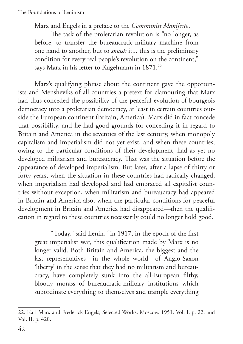Marx and Engels in a preface to the *Communist Manifesto*.

The task of the proletarian revolution is "no longer, as before, to transfer the bureaucratic-military machine from one hand to another, but to *smash* it... this is the preliminary condition for every real people's revolution on the continent," says Marx in his letter to Kugelmann in 1871.<sup>22</sup>

Marx's qualifying phrase about the continent gave the opportunists and Mensheviks of all countries a pretext for clamouring that Marx had thus conceded the possibility of the peaceful evolution of bourgeois democracy into a proletarian democracy, at least in certain countries outside the European continent (Britain, America). Marx did in fact concede that possibility, and he had good grounds for conceding it in regard to Britain and America in the seventies of the last century, when monopoly capitalism and imperialism did not yet exist, and when these countries, owing to the particular conditions of their development, had as yet no developed militarism and bureaucracy. That was the situation before the appearance of developed imperialism. But later, after a lapse of thirty or forty years, when the situation in these countries had radically changed, when imperialism had developed and had embraced all capitalist countries without exception, when militarism and bureaucracy had appeared in Britain and America also, when the particular conditions for peaceful development in Britain and America had disappeared—then the qualification in regard to these countries necessarily could no longer hold good.

"Today," said Lenin, "in 1917, in the epoch of the first great imperialist war, this qualification made by Marx is no longer valid. Both Britain and America, the biggest and the last representatives—in the whole world—of Anglo-Saxon 'liberty' in the sense that they had no militarism and bureaucracy, have completely sunk into the all-European filthy, bloody morass of bureaucratic-military institutions which subordinate everything to themselves and trample everything

<sup>22.</sup> Karl Marx and Frederick Engels, Selected Works, Moscow. 1951. Vol. I, p. 22, and Vol. II, p. 420.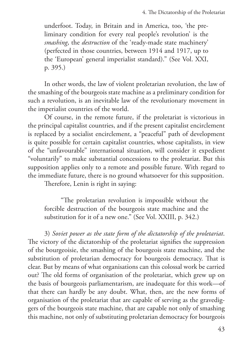underfoot. Today, in Britain and in America, too, 'the preliminary condition for every real people's revolution' is the *smashing*, the *destruction* of the 'ready-made state machinery' (perfected in those countries, between 1914 and 1917, up to the 'European' general imperialist standard)." (See Vol. XXI, p. 395.)

In other words, the law of violent proletarian revolution, the law of the smashing of the bourgeois state machine as a preliminary condition for such a revolution, is an inevitable law of the revolutionary movement in the imperialist countries of the world.

Of course, in the remote future, if the proletariat is victorious in the principal capitalist countries, and if the present capitalist encirclement is replaced by a socialist encirclement, a "peaceful" path of development is quite possible for certain capitalist countries, whose capitalists, in view of the "unfavourable" international situation, will consider it expedient "voluntarily" to make substantial concessions to the proletariat. But this supposition applies only to a remote and possible future. With regard to the immediate future, there is no ground whatsoever for this supposition.

Therefore, Lenin is right in saying:

"The proletarian revolution is impossible without the forcible destruction of the bourgeois state machine and the substitution for it of a new one." (See Vol. XXIII, p. 342.)

3) *Soviet power as the state form of the dictatorship of the proletariat*. The victory of the dictatorship of the proletariat signifies the suppression of the bourgeoisie, the smashing of the bourgeois state machine, and the substitution of proletarian democracy for bourgeois democracy. That is clear. But by means of what organisations can this colossal work be carried out? The old forms of organisation of the proletariat, which grew up on the basis of bourgeois parliamentarism, are inadequate for this work—of that there can hardly be any doubt. What, then, are the new forms of organisation of the proletariat that are capable of serving as the gravediggers of the bourgeois state machine, that are capable not only of smashing this machine, not only of substituting proletarian democracy for bourgeois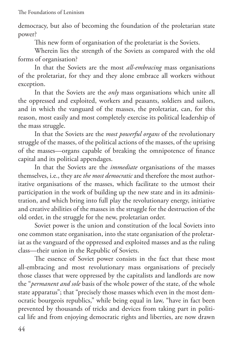democracy, but also of becoming the foundation of the proletarian state power?

This new form of organisation of the proletariat is the Soviets.

Wherein lies the strength of the Soviets as compared with the old forms of organisation?

In that the Soviets are the most *all-embracing* mass organisations of the proletariat, for they and they alone embrace all workers without exception.

In that the Soviets are the *only* mass organisations which unite all the oppressed and exploited, workers and peasants, soldiers and sailors, and in which the vanguard of the masses, the proletariat, can, for this reason, most easily and most completely exercise its political leadership of the mass struggle.

In that the Soviets are the *most powerful organs* of the revolutionary struggle of the masses, of the political actions of the masses, of the uprising of the masses—organs capable of breaking the omnipotence of finance capital and its political appendages.

In that the Soviets are the *immediate* organisations of the masses themselves, i.e., they are *the most democratic* and therefore the most authoritative organisations of the masses, which facilitate to the utmost their participation in the work of building up the new state and in its administration, and which bring into full play the revolutionary energy, initiative and creative abilities of the masses in the struggle for the destruction of the old order, in the struggle for the new, proletarian order.

Soviet power is the union and constitution of the local Soviets into one common state organisation, into the state organisation of the proletariat as the vanguard of the oppressed and exploited masses and as the ruling class—their union in the Republic of Soviets.

The essence of Soviet power consists in the fact that these most all-embracing and most revolutionary mass organisations of precisely those classes that were oppressed by the capitalists and landlords are now the "*permanent and sole* basis of the whole power of the state, of the whole state apparatus"; that "precisely those masses which even in the most democratic bourgeois republics," while being equal in law, "have in fact been prevented by thousands of tricks and devices from taking part in political life and from enjoying democratic rights and liberties, are now drawn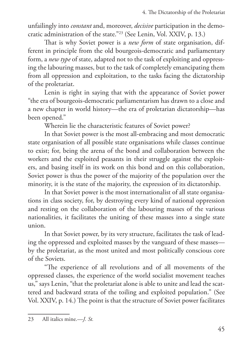unfailingly into *constant* and, moreover, *decisive* participation in the democratic administration of the state."23 (See Lenin, Vol. XXIV, p. 13.)

That is why Soviet power is a *new form* of state organisation, different in principle from the old bourgeois-democratic and parliamentary form, a *new type* of state, adapted not to the task of exploiting and oppressing the labouring masses, but to the task of completely emancipating them from all oppression and exploitation, to the tasks facing the dictatorship of the proletariat.

Lenin is right in saying that with the appearance of Soviet power "the era of bourgeois-democratic parliamentarism has drawn to a close and a new chapter in world history—the era of proletarian dictatorship—has been opened."

Wherein lie the characteristic features of Soviet power?

In that Soviet power is the most all-embracing and most democratic state organisation of all possible state organisations while classes continue to exist; for, being the arena of the bond and collaboration between the workers and the exploited peasants in their struggle against the exploiters, and basing itself in its work on this bond and on this collaboration, Soviet power is thus the power of the majority of the population over the minority, it is the state of the majority, the expression of its dictatorship.

In that Soviet power is the most internationalist of all state organisations in class society, for, by destroying every kind of national oppression and resting on the collaboration of the labouring masses of the various nationalities, it facilitates the uniting of these masses into a single state union.

In that Soviet power, by its very structure, facilitates the task of leading the oppressed and exploited masses by the vanguard of these masses by the proletariat, as the most united and most politically conscious core of the Soviets.

"The experience of all revolutions and of all movements of the oppressed classes, the experience of the world socialist movement teaches us," says Lenin, "that the proletariat alone is able to unite and lead the scattered and backward strata of the toiling and exploited population." (See Vol. XXIV, p. 14.) The point is that the structure of Soviet power facilitates

<sup>23</sup> All italics mine.—*J. St.*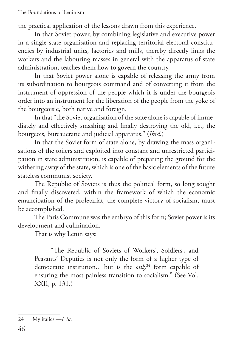the practical application of the lessons drawn from this experience.

In that Soviet power, by combining legislative and executive power in a single state organisation and replacing territorial electoral constituencies by industrial units, factories and mills, thereby directly links the workers and the labouring masses in general with the apparatus of state administration, teaches them how to govern the country.

In that Soviet power alone is capable of releasing the army from its subordination to bourgeois command and of converting it from the instrument of oppression of the people which it is under the bourgeois order into an instrument for the liberation of the people from the yoke of the bourgeoisie, both native and foreign.

In that "the Soviet organisation of the state alone is capable of immediately and effectively smashing and finally destroying the old, i.e., the bourgeois, bureaucratic and judicial apparatus." (*Ibid.*)

In that the Soviet form of state alone, by drawing the mass organisations of the toilers and exploited into constant and unrestricted participation in state administration, is capable of preparing the ground for the withering away of the state, which is one of the basic elements of the future stateless communist society.

The Republic of Soviets is thus the political form, so long sought and finally discovered, within the framework of which the economic emancipation of the proletariat, the complete victory of socialism, must be accomplished.

The Paris Commune was the embryo of this form; Soviet power is its development and culmination.

That is why Lenin says:

"The Republic of Soviets of Workers', Soldiers', and Peasants' Deputies is not only the form of a higher type of democratic institution... but is the *only*24 form capable of ensuring the most painless transition to socialism." (See Vol. XXII, p. 131.)

<sup>24</sup> My italics.—*J. St.*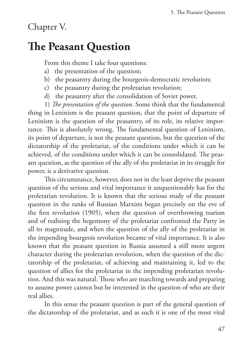### Chapter V.

# **The Peasant Question**

From this theme I take four questions:

- a) the presentation of the question;
- b) the peasantry during the bourgeois-democratic revolution;
- c) the peasantry during the proletarian revolution;
- d) the peasantry after the consolidation of Soviet power.

1) *The presentation of the question*. Some think that the fundamental thing in Leninism is the peasant question, that the point of departure of Leninism is the question of the peasantry, of its role, its relative importance. This is absolutely wrong. The fundamental question of Leninism, its point of departure, is not the peasant question, but the question of the dictatorship of the proletariat, of the conditions under which it can be achieved, of the conditions under which it can be consolidated. The peasant question, as the question of the ally of the proletariat in its struggle for power, is a derivative question.

This circumstance, however, does not in the least deprive the peasant question of the serious and vital importance it unquestionably has for the proletarian revolution. It is known that the serious study of the peasant question in the ranks of Russian Marxists began precisely on the eve of the first revolution (1905), when the question of overthrowing tsarism and of realising the hegemony of the proletariat confronted the Party in all its magnitude, and when the question of the ally of the proletariat in the impending bourgeois revolution became of vital importance. It is also known that the peasant question in Russia assumed a still more urgent character during the proletarian revolution, when the question of the dictatorship of the proletariat, of achieving and maintaining it, led to the question of allies for the proletariat in the impending proletarian revolution. And this was natural. Those who are marching towards and preparing to assume power cannot but be interested in the question of who are their real allies.

In this sense the peasant question is part of the general question of the dictatorship of the proletariat, and as such it is one of the most vital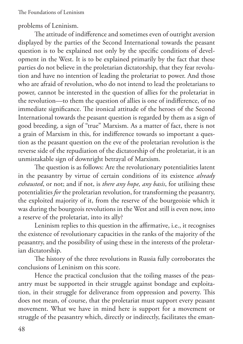problems of Leninism.

The attitude of indifference and sometimes even of outright aversion displayed by the parties of the Second International towards the peasant question is to be explained not only by the specific conditions of development in the West. It is to be explained primarily by the fact that these parties do not believe in the proletarian dictatorship, that they fear revolution and have no intention of leading the proletariat to power. And those who are afraid of revolution, who do not intend to lead the proletarians to power, cannot be interested in the question of allies for the proletariat in the revolution—to them the question of allies is one of indifference, of no immediate significance. The ironical attitude of the heroes of the Second International towards the peasant question is regarded by them as a sign of good breeding, a sign of "true" Marxism. As a matter of fact, there is not a grain of Marxism in this, for indifference towards so important a question as the peasant question on the eve of the proletarian revolution is the reverse side of the repudiation of the dictatorship of the proletariat, it is an unmistakable sign of downright betrayal of Marxism.

The question is as follows: Are the revolutionary potentialities latent in the peasantry by virtue of certain conditions of its existence *already exhausted*, or not; and if not, is *there any hope, any basis*, for utilising these potentialities *for* the proletarian revolution, for transforming the peasantry, the exploited majority of it, from the reserve of the bourgeoisie which it was during the bourgeois revolutions in the West and still is even now, into a reserve of the proletariat, into its ally?

Leninism replies to this question in the affirmative, i.e., it recognises the existence of revolutionary capacities in the ranks of the majority of the peasantry, and the possibility of using these in the interests of the proletarian dictatorship.

The history of the three revolutions in Russia fully corroborates the conclusions of Leninism on this score.

Hence the practical conclusion that the toiling masses of the peasantry must be supported in their struggle against bondage and exploitation, in their struggle for deliverance from oppression and poverty. This does not mean, of course, that the proletariat must support every peasant movement. What we have in mind here is support for a movement or struggle of the peasantry which, directly or indirectly, facilitates the eman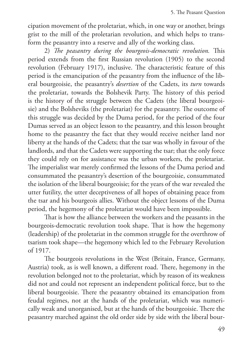cipation movement of the proletariat, which, in one way or another, brings grist to the mill of the proletarian revolution, and which helps to transform the peasantry into a reserve and ally of the working class.

2) *The peasantry during the bourgeois-democratic revolution.* This period extends from the first Russian revolution (1905) to the second revolution (February 1917), inclusive. The characteristic feature of this period is the emancipation of the peasantry from the influence of the liberal bourgeoisie, the peasantry's *desertion* of the Cadets, its *turn* towards the proletariat, towards the Bolshevik Party. The history of this period is the history of the struggle between the Cadets (the liberal bourgeoisie) and the Bolsheviks (the proletariat) for the peasantry. The outcome of this struggle was decided by the Duma period, for the period of the four Dumas served as an object lesson to the peasantry, and this lesson brought home to the peasantry the fact that they would receive neither land nor liberty at the hands of the Cadets; that the tsar was wholly in favour of the landlords, and that the Cadets were supporting the tsar; that the only force they could rely on for assistance was the urban workers, the proletariat. The imperialist war merely confirmed the lessons of the Duma period and consummated the peasantry's desertion of the bourgeoisie, consummated the isolation of the liberal bourgeoisie; for the years of the war revealed the utter futility, the utter deceptiveness of all hopes of obtaining peace from the tsar and his bourgeois allies. Without the object lessons of the Duma period, the hegemony of the proletariat would have been impossible.

That is how the alliance between the workers and the peasants in the bourgeois-democratic revolution took shape. That is how the hegemony (leadership) of the proletariat in the common struggle for the overthrow of tsarism took shape—the hegemony which led to the February Revolution of 1917.

The bourgeois revolutions in the West (Britain, France, Germany, Austria) took, as is well known, a different road. There, hegemony in the revolution belonged not to the proletariat, which by reason of its weakness did not and could not represent an independent political force, but to the liberal bourgeoisie. There the peasantry obtained its emancipation from feudal regimes, not at the hands of the proletariat, which was numerically weak and unorganised, but at the hands of the bourgeoisie. There the peasantry marched against the old order side by side with the liberal bour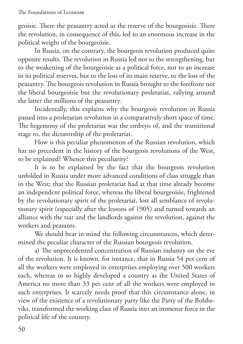geoisie. There the peasantry acted as the reserve of the bourgeoisie. There the revolution, in consequence of this, led to an enormous increase in the political weight of the bourgeoisie.

In Russia, on the contrary, the bourgeois revolution produced quite opposite results. The revolution in Russia led not to the strengthening, but to the weakening of the bourgeoisie as a political force, not to an increase in its political reserves, but to the loss of its main reserve, to the loss of the peasantry. The bourgeois revolution in Russia brought to the forefront not the liberal bourgeoisie but the revolutionary proletariat, rallying around the latter the millions of the peasantry.

Incidentally, this explains why the bourgeois revolution in Russia passed into a proletarian revolution in a comparatively short space of time. The hegemony of the proletariat was the embryo of, and the transitional stage to, the dictatorship of the proletariat.

How is this peculiar phenomenon of the Russian revolution, which has no precedent in the history of the bourgeois revolutions of the West, to be explained? Whence this peculiarity?

It is to be explained by the fact that the bourgeois revolution unfolded in Russia under more advanced conditions of class struggle than in the West; that the Russian proletariat had at that time already become an independent political force, whereas the liberal bourgeoisie, frightened by the revolutionary spirit of the proletariat, lost all semblance of revolutionary spirit (especially after the lessons of 1905) and turned towards an alliance with the tsar and the landlords against the revolution, against the workers and peasants.

We should bear in mind the following circumstances, which determined the peculiar character of the Russian bourgeois revolution.

a) The unprecedented concentration of Russian industry on the eve of the revolution. It is known, for instance, that in Russia 54 per cent of all the workers were employed in enterprises employing over 500 workers each, whereas in so highly developed a country as the United States of America no more than 33 per cent of all the workers were employed in such enterprises. It scarcely needs proof that this circumstance alone, in view of the existence of a revolutionary party like the Party of the Bolsheviks, transformed the working class of Russia into an immense force in the political life of the country.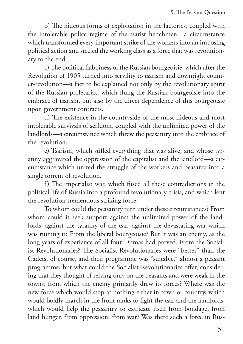b) The hideous forms of exploitation in the factories, coupled with the intolerable police regime of the tsarist henchmen—a circumstance which transformed every important strike of the workers into an imposing political action and steeled the working class as a force that was revolutionary to the end.

c) The political flabbiness of the Russian bourgeoisie, which after the Revolution of 1905 turned into servility to tsarism and downright counter-revolution—a fact to be explained not only by the revolutionary spirit of the Russian proletariat, which flung the Russian bourgeoisie into the embrace of tsarism, but also by the direct dependence of this bourgeoisie upon government contracts.

d) The existence in the countryside of the most hideous and most intolerable survivals of serfdom, coupled with the unlimited power of the landlords—a circumstance which threw the peasantry into the embrace of the revolution.

e) Tsarism, which stifled everything that was alive, and whose tyranny aggravated the oppression of the capitalist and the landlord—a circumstance which united the struggle of the workers and peasants into a single torrent of revolution.

f) The imperialist war, which fused all these contradictions in the political life of Russia into a profound revolutionary crisis, and which lent the revolution tremendous striking force.

To whom could the peasantry turn under these circumstances? From whom could it seek support against the unlimited power of the landlords, against the tyranny of the tsar, against the devastating war which was ruining it? From the liberal bourgeoisie? But it was an enemy, as the long years of experience of all four Dumas had proved. From the Socialist-Revolutionaries? The Socialist-Revolutionaries were "better" than the Cadets, of course, and their programme was "suitable," almost a peasant programme; but what could the Socialist-Revolutionaries offer, considering that they thought of relying only on the peasants and were weak in the towns, from which the enemy primarily drew its forces? Where was the new force which would stop at nothing either in town or country, which would boldly march in the front ranks to fight the tsar and the landlords, which would help the peasantry to extricate itself from bondage, from land hunger, from oppression, from war? Was there such a force in Rus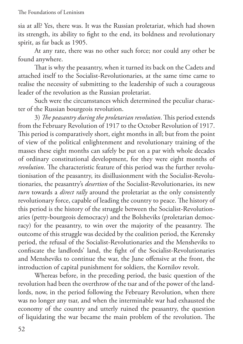sia at all? Yes, there was. It was the Russian proletariat, which had shown its strength, its ability to fight to the end, its boldness and revolutionary spirit, as far back as 1905.

At any rate, there was no other such force; nor could any other be found anywhere.

That is why the peasantry, when it turned its back on the Cadets and attached itself to the Socialist-Revolutionaries, at the same time came to realise the necessity of submitting to the leadership of such a courageous leader of the revolution as the Russian proletariat.

Such were the circumstances which determined the peculiar character of the Russian bourgeois revolution.

3) *The peasantry during the proletarian revolution*. This period extends from the February Revolution of 1917 to the October Revolution of 1917. This period is comparatively short, eight months in all; but from the point of view of the political enlightenment and revolutionary training of the masses these eight months can safely be put on a par with whole decades of ordinary constitutional development, for they were eight months of *revolution*. The characteristic feature of this period was the further revolutionisation of the peasantry, its disillusionment with the Socialist-Revolutionaries, the peasantry's *desertion* of the Socialist-Revolutionaries, its new *turn* towards a *direct rally* around the proletariat as the only consistently revolutionary force, capable of leading the country to peace. The history of this period is the history of the struggle between the Socialist-Revolutionaries (petty-bourgeois democracy) and the Bolsheviks (proletarian democracy) for the peasantry, to win over the majority of the peasantry. The outcome of this struggle was decided by the coalition period, the Kerensky period, the refusal of the Socialist-Revolutionaries and the Mensheviks to confiscate the landlords' land, the fight of the Socialist-Revolutionaries and Mensheviks to continue the war, the June offensive at the front, the introduction of capital punishment for soldiers, the Kornilov revolt.

Whereas before, in the preceding period, the basic question of the revolution had been the overthrow of the tsar and of the power of the landlords, now, in the period following the February Revolution, when there was no longer any tsar, and when the interminable war had exhausted the economy of the country and utterly ruined the peasantry, the question of liquidating the war became the main problem of the revolution. The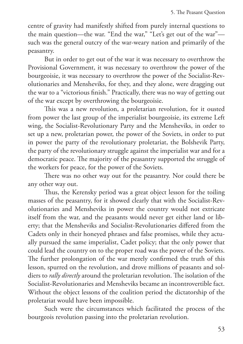centre of gravity had manifestly shifted from purely internal questions to the main question—the war. "End the war," "Let's get out of the war" such was the general outcry of the war-weary nation and primarily of the peasantry.

But in order to get out of the war it was necessary to overthrow the Provisional Government, it was necessary to overthrow the power of the bourgeoisie, it was necessary to overthrow the power of the Socialist-Revolutionaries and Mensheviks, for they, and they alone, were dragging out the war to a "victorious finish." Practically, there was no way of getting out of the war except by overthrowing the bourgeoisie.

This was a new revolution, a proletarian revolution, for it ousted from power the last group of the imperialist bourgeoisie, its extreme Left wing, the Socialist-Revolutionary Party and the Mensheviks, in order to set up a new, proletarian power, the power of the Soviets, in order to put in power the party of the revolutionary proletariat, the Bolshevik Party, the party of the revolutionary struggle against the imperialist war and for a democratic peace. The majority of the peasantry supported the struggle of the workers for peace, for the power of the Soviets.

There was no other way out for the peasantry. Nor could there be any other way out.

Thus, the Kerensky period was a great object lesson for the toiling masses of the peasantry, for it showed clearly that with the Socialist-Revolutionaries and Mensheviks in power the country would not extricate itself from the war, and the peasants would never get either land or liberty; that the Mensheviks and Socialist-Revolutionaries differed from the Cadets only in their honeyed phrases and false promises, while they actually pursued the same imperialist, Cadet policy; that the only power that could lead the country on to the proper road was the power of the Soviets. The further prolongation of the war merely confirmed the truth of this lesson, spurred on the revolution, and drove millions of peasants and soldiers to *rally directly* around the proletarian revolution. The isolation of the Socialist-Revolutionaries and Mensheviks became an incontrovertible fact. Without the object lessons of the coalition period the dictatorship of the proletariat would have been impossible.

Such were the circumstances which facilitated the process of the bourgeois revolution passing into the proletarian revolution.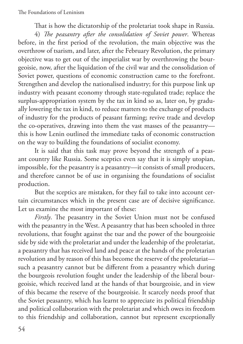That is how the dictatorship of the proletariat took shape in Russia. 4) *The peasantry after the consolidation of Soviet power*. Whereas before, in the first period of the revolution, the main objective was the overthrow of tsarism, and later, after the February Revolution, the primary objective was to get out of the imperialist war by overthrowing the bourgeoisie, now, after the liquidation of the civil war and the consolidation of Soviet power, questions of economic construction came to the forefront. Strengthen and develop the nationalised industry; for this purpose link up industry with peasant economy through state-regulated trade; replace the surplus-appropriation system by the tax in kind so as, later on, by gradually lowering the tax in kind, to reduce matters to the exchange of products of industry for the products of peasant farming; revive trade and develop the co-operatives, drawing into them the vast masses of the peasantry this is how Lenin outlined the immediate tasks of economic construction on the way to building the foundations of socialist economy.

It is said that this task may prove beyond the strength of a peasant country like Russia. Some sceptics even say that it is simply utopian, impossible, for the peasantry is a peasantry—it consists of small producers, and therefore cannot be of use in organising the foundations of socialist production.

But the sceptics are mistaken, for they fail to take into account certain circumstances which in the present case are of decisive significance. Let us examine the most important of these:

*Firstly*. The peasantry in the Soviet Union must not be confused with the peasantry in the West. A peasantry that has been schooled in three revolutions, that fought against the tsar and the power of the bourgeoisie side by side with the proletariat and under the leadership of the proletariat, a peasantry that has received land and peace at the hands of the proletarian revolution and by reason of this has become the reserve of the proletariat such a peasantry cannot but be different from a peasantry which during the bourgeois revolution fought under the leadership of the liberal bourgeoisie, which received land at the hands of that bourgeoisie, and in view of this became the reserve of the bourgeoisie. It scarcely needs proof that the Soviet peasantry, which has learnt to appreciate its political friendship and political collaboration with the proletariat and which owes its freedom to this friendship and collaboration, cannot but represent exceptionally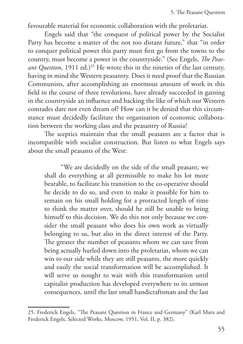favourable material for economic collaboration with the proletariat.

Engels said that "the conquest of political power by the Socialist Party has become a matter of the not too distant future," that "in order to conquer political power this party must first go from the towns to the country, must become a power in the countryside." (See Engels, *The Peasant Question*, 1911 ed.)<sup>25</sup> He wrote this in the nineties of the last century, having in mind the Western peasantry. Does it need proof that the Russian Communists, after accomplishing an enormous amount of work in this field in the course of three revolutions, have already succeeded in gaining in the countryside an influence and backing the like of which our Western comrades dare not even dream of? How can it be denied that this circumstance must decidedly facilitate the organisation of economic collaboration between the working class and the peasantry of Russia?

The sceptics maintain that the small peasants are a factor that is incompatible with socialist construction. But listen to what Engels says about the small peasants of the West:

"We are decidedly on the side of the small peasant; we shall do everything at all permissible to make his lot more bearable, to facilitate his transition to the co-operative should he decide to do so, and even to make it possible for him to remain on his small holding for a protracted length of time to think the matter over, should he still be unable to bring himself to this decision. We do this not only because we consider the small peasant who does his own work as virtually belonging to us, but also in the direct interest of the Party. The greater the number of peasants whom we can save from being actually hurled down into the proletariat, whom we can win to our side while they are still peasants, the more quickly and easily the social transformation will be accomplished. It will serve us nought to wait with this transformation until capitalist production has developed everywhere to its utmost consequences, until the last small handicraftsman and the last

<sup>25.</sup> Frederick Engels, "The Peasant Question in France and Germany" (Karl Marx and Frederick Engels, Selected Works, Moscow, 1951, Vol. II, p. 382).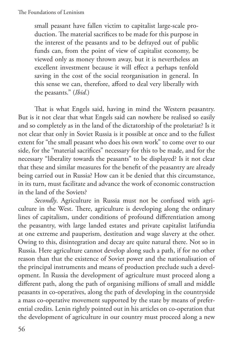small peasant have fallen victim to capitalist large-scale production. The material sacrifices to be made for this purpose in the interest of the peasants and to be defrayed out of public funds can, from the point of view of capitalist economy, be viewed only as money thrown away, but it is nevertheless an excellent investment because it will effect a perhaps tenfold saving in the cost of the social reorganisation in general. In this sense we can, therefore, afford to deal very liberally with the peasants." (*Ibid.*)

That is what Engels said, having in mind the Western peasantry. But is it not clear that what Engels said can nowhere be realised so easily and so completely as in the land of the dictatorship of the proletariat? Is it not clear that only in Soviet Russia is it possible at once and to the fullest extent for "the small peasant who does his own work" to come over to our side, for the "material sacrifices" necessary for this to be made, and for the necessary "liberality towards the peasants" to be displayed? Is it not clear that these and similar measures for the benefit of the peasantry are already being carried out in Russia? How can it be denied that this circumstance, in its turn, must facilitate and advance the work of economic construction in the land of the Soviets?

*Secondly*. Agriculture in Russia must not be confused with agriculture in the West. There, agriculture is developing along the ordinary lines of capitalism, under conditions of profound differentiation among the peasantry, with large landed estates and private capitalist latifundia at one extreme and pauperism, destitution and wage slavery at the other. Owing to this, disintegration and decay are quite natural there. Not so in Russia. Here agriculture cannot develop along such a path, if for no other reason than that the existence of Soviet power and the nationalisation of the principal instruments and means of production preclude such a development. In Russia the development of agriculture must proceed along a different path, along the path of organising millions of small and middle peasants in co-operatives, along the path of developing in the countryside a mass co-operative movement supported by the state by means of preferential credits. Lenin rightly pointed out in his articles on co-operation that the development of agriculture in our country must proceed along a new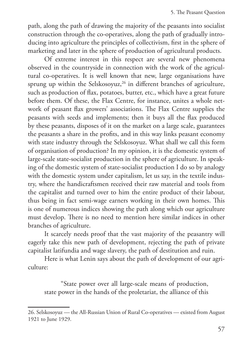path, along the path of drawing the majority of the peasants into socialist construction through the co-operatives, along the path of gradually introducing into agriculture the principles of collectivism, first in the sphere of marketing and later in the sphere of production of agricultural products.

Of extreme interest in this respect are several new phenomena observed in the countryside in connection with the work of the agricultural co-operatives. It is well known that new, large organisations have sprung up within the Selskosoyuz,<sup>26</sup> in different branches of agriculture, such as production of flax, potatoes, butter, etc., which have a great future before them. Of these, the Flax Centre, for instance, unites a whole network of peasant flax growers' associations. The Flax Centre supplies the peasants with seeds and implements; then it buys all the flax produced by these peasants, disposes of it on the market on a large scale, guarantees the peasants a share in the profits, and in this way links peasant economy with state industry through the Selskosoyuz. What shall we call this form of organisation of production? In my opinion, it is the domestic system of large-scale state-socialist production in the sphere of agriculture. In speaking of the domestic system of state-socialist production I do so by analogy with the domestic system under capitalism, let us say, in the textile industry, where the handicraftsmen received their raw material and tools from the capitalist and turned over to him the entire product of their labour, thus being in fact semi-wage earners working in their own homes. This is one of numerous indices showing the path along which our agriculture must develop. There is no need to mention here similar indices in other branches of agriculture.

It scarcely needs proof that the vast majority of the peasantry will eagerly take this new path of development, rejecting the path of private capitalist latifundia and wage slavery, the path of destitution and ruin.

Here is what Lenin says about the path of development of our agriculture:

"State power over all large-scale means of production, state power in the hands of the proletariat, the alliance of this

<sup>26.</sup> Selskosoyuz — the All-Russian Union of Rural Co-operatives — existed from August 1921 to June 1929.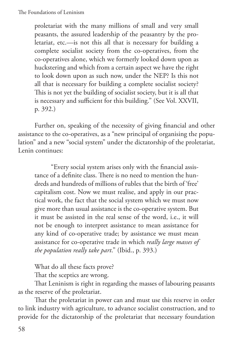proletariat with the many millions of small and very small peasants, the assured leadership of the peasantry by the proletariat, etc.—is not this all that is necessary for building a complete socialist society from the co-operatives, from the co-operatives alone, which we formerly looked down upon as huckstering and which from a certain aspect we have the right to look down upon as such now, under the NEP? Is this not all that is necessary for building a complete socialist society? This is not yet the building of socialist society, but it is all that is necessary and sufficient for this building." (See Vol. XXVII, p. 392.)

Further on, speaking of the necessity of giving financial and other assistance to the co-operatives, as a "new principal of organising the population" and a new "social system" under the dictatorship of the proletariat, Lenin continues:

"Every social system arises only with the financial assistance of a definite class. There is no need to mention the hundreds and hundreds of millions of rubles that the birth of 'free' capitalism cost. Now we must realise, and apply in our practical work, the fact that the social system which we must now give more than usual assistance is the co-operative system. But it must be assisted in the real sense of the word, i.e., it will not be enough to interpret assistance to mean assistance for any kind of co-operative trade; by assistance we must mean assistance for co-operative trade in which *really large masses of the population really take part*." (Ibid., p. 393.)

What do all these facts prove?

That the sceptics are wrong.

That Leninism is right in regarding the masses of labouring peasants as the reserve of the proletariat.

That the proletariat in power can and must use this reserve in order to link industry with agriculture, to advance socialist construction, and to provide for the dictatorship of the proletariat that necessary foundation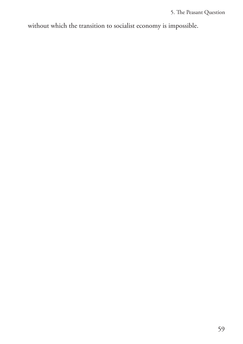without which the transition to socialist economy is impossible.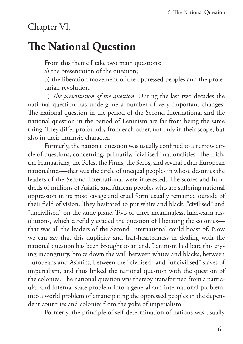## Chapter VI.

# **The National Question**

From this theme I take two main questions:

a) the presentation of the question;

b) the liberation movement of the oppressed peoples and the proletarian revolution.

1) *The presentation of the question*. During the last two decades the national question has undergone a number of very important changes. The national question in the period of the Second International and the national question in the period of Leninism are far from being the same thing. They differ profoundly from each other, not only in their scope, but also in their intrinsic character.

Formerly, the national question was usually confined to a narrow circle of questions, concerning, primarily, "civilised" nationalities. The Irish, the Hungarians, the Poles, the Finns, the Serbs, and several other European nationalities—that was the circle of unequal peoples in whose destinies the leaders of the Second International were interested. The scores and hundreds of millions of Asiatic and African peoples who are suffering national oppression in its most savage and cruel form usually remained outside of their field of vision. They hesitated to put white and black, "civilised" and "uncivilised" on the same plane. Two or three meaningless, lukewarm resolutions, which carefully evaded the question of liberating the colonies that was all the leaders of the Second International could boast of. Now we can say that this duplicity and half-heartedness in dealing with the national question has been brought to an end. Leninism laid bare this crying incongruity, broke down the wall between whites and blacks, between Europeans and Asiatics, between the "civilised" and "uncivilised" slaves of imperialism, and thus linked the national question with the question of the colonies. The national question was thereby transformed from a particular and internal state problem into a general and international problem, into a world problem of emancipating the oppressed peoples in the dependent countries and colonies from the yoke of imperialism.

Formerly, the principle of self-determination of nations was usually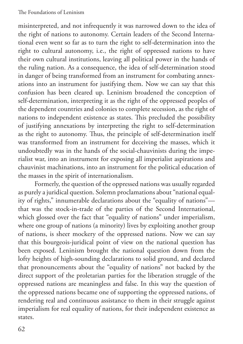misinterpreted, and not infrequently it was narrowed down to the idea of the right of nations to autonomy. Certain leaders of the Second International even went so far as to turn the right to self-determination into the right to cultural autonomy, i.e., the right of oppressed nations to have their own cultural institutions, leaving all political power in the hands of the ruling nation. As a consequence, the idea of self-determination stood in danger of being transformed from an instrument for combating annexations into an instrument for justifying them. Now we can say that this confusion has been cleared up. Leninism broadened the conception of self-determination, interpreting it as the right of the oppressed peoples of the dependent countries and colonies to complete secession, as the right of nations to independent existence as states. This precluded the possibility of justifying annexations by interpreting the right to self-determination as the right to autonomy. Thus, the principle of self-determination itself was transformed from an instrument for deceiving the masses, which it undoubtedly was in the hands of the social-chauvinists during the imperialist war, into an instrument for exposing all imperialist aspirations and chauvinist machinations, into an instrument for the political education of the masses in the spirit of internationalism.

Formerly, the question of the oppressed nations was usually regarded as purely a juridical question. Solemn proclamations about "national equality of rights," innumerable declarations about the "equality of nations" that was the stock-in-trade of the parties of the Second International, which glossed over the fact that "equality of nations" under imperialism, where one group of nations (a minority) lives by exploiting another group of nations, is sheer mockery of the oppressed nations. Now we can say that this bourgeois-juridical point of view on the national question has been exposed. Leninism brought the national question down from the lofty heights of high-sounding declarations to solid ground, and declared that pronouncements about the "equality of nations" not backed by the direct support of the proletarian parties for the liberation struggle of the oppressed nations are meaningless and false. In this way the question of the oppressed nations became one of supporting the oppressed nations, of rendering real and continuous assistance to them in their struggle against imperialism for real equality of nations, for their independent existence as states.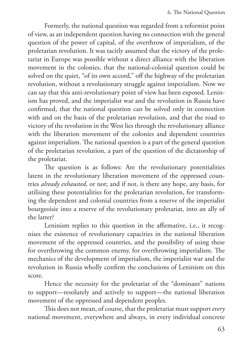Formerly, the national question was regarded from a reformist point of view, as an independent question having no connection with the general question of the power of capital, of the overthrow of imperialism, of the proletarian revolution. It was tacitly assumed that the victory of the proletariat in Europe was possible without a direct alliance with the liberation movement in the colonies, that the national-colonial question could be solved on the quiet, "of its own accord," off the highway of the proletarian revolution, without a revolutionary struggle against imperialism. Now we can say that this anti-revolutionary point of view has been exposed. Leninism has proved, and the imperialist war and the revolution in Russia have confirmed, that the national question can be solved only in connection with and on the basis of the proletarian revolution, and that the road to victory of the revolution in the West lies through the revolutionary alliance with the liberation movement of the colonies and dependent countries against imperialism. The national question is a part of the general question of the proletarian revolution, a part of the question of the dictatorship of the proletariat.

The question is as follows: Are the revolutionary potentialities latent in the revolutionary liberation movement of the oppressed countries *already exhausted*, or not; and if not, is there any hope, any basis, for utilising these potentialities for the proletarian revolution, for transforming the dependent and colonial countries from a reserve of the imperialist bourgeoisie into a reserve of the revolutionary proletariat, into an ally of the latter?

Leninism replies to this question in the affirmative, i.e., it recognises the existence of revolutionary capacities in the national liberation movement of the oppressed countries, and the possibility of using these for overthrowing the common enemy, for overthrowing imperialism. The mechanics of the development of imperialism, the imperialist war and the revolution in Russia wholly confirm the conclusions of Leninism on this score.

Hence the necessity for the proletariat of the "dominant" nations to support—resolutely and actively to support—the national liberation movement of the oppressed and dependent peoples.

This does not mean, of course, that the proletariat must support *every* national movement, everywhere and always, in every individual concrete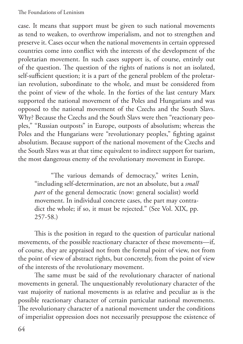case. It means that support must be given to such national movements as tend to weaken, to overthrow imperialism, and not to strengthen and preserve it. Cases occur when the national movements in certain oppressed countries come into conflict with the interests of the development of the proletarian movement. In such cases support is, of course, entirely out of the question. The question of the rights of nations is not an isolated, self-sufficient question; it is a part of the general problem of the proletarian revolution, subordinate to the whole, and must be considered from the point of view of the whole. In the forties of the last century Marx supported the national movement of the Poles and Hungarians and was opposed to the national movement of the Czechs and the South Slavs. Why? Because the Czechs and the South Slavs were then "reactionary peoples," "Russian outposts" in Europe, outposts of absolutism; whereas the Poles and the Hungarians were "revolutionary peoples," fighting against absolutism. Because support of the national movement of the Czechs and the South Slavs was at that time equivalent to indirect support for tsarism, the most dangerous enemy of the revolutionary movement in Europe.

"The various demands of democracy," writes Lenin, "including self-determination, are not an absolute, but a *small part* of the general democratic (now: general socialist) world movement. In individual concrete cases, the part may contradict the whole; if so, it must be rejected." (See Vol. XIX, pp. 257-58.)

This is the position in regard to the question of particular national movements, of the possible reactionary character of these movements—if, of course, they are appraised not from the formal point of view, not from the point of view of abstract rights, but concretely, from the point of view of the interests of the revolutionary movement.

The same must be said of the revolutionary character of national movements in general. The unquestionably revolutionary character of the vast majority of national movements is as relative and peculiar as is the possible reactionary character of certain particular national movements. The revolutionary character of a national movement under the conditions of imperialist oppression does not necessarily presuppose the existence of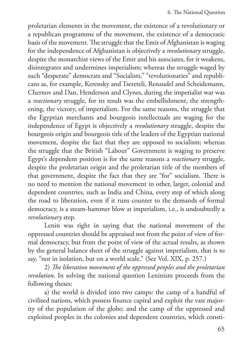proletarian elements in the movement, the existence of a revolutionary or a republican programme of the movement, the existence of a democratic basis of the movement. The struggle that the Emir of Afghanistan is waging for the independence of Afghanistan is objectively a *revolutionary* struggle, despite the monarchist views of the Emir and his associates, for it weakens, disintegrates and undermines imperialism; whereas the struggle waged by such "desperate" democrats and "Socialists," "revolutionaries" and republicans as, for example, Kerensky and Tsereteli, Renaudel and Scheidemann, Chernov and Dan, Henderson and Clynes, during the imperialist war was a *reactionary* struggle, for its result was the embellishment, the strengthening, the victory, of imperialism. For the same reasons, the struggle that the Egyptian merchants and bourgeois intellectuals are waging for the independence of Egypt is objectively a *revolutionary* struggle, despite the bourgeois origin and bourgeois title of the leaders of the Egyptian national movement, despite the fact that they are opposed to socialism; whereas the struggle that the British "Labour" Government is waging to preserve Egypt's dependent position is for the same reasons a *reactionary* struggle, despite the proletarian origin and the proletarian title of the members of that government, despite the fact that they are "for" socialism. There is no need to mention the national movement in other, larger, colonial and dependent countries, such as India and China, every step of which along the road to liberation, even if it runs counter to the demands of formal democracy, is a steam-hammer blow at imperialism, i.e., is undoubtedly a *revolutionary* step.

Lenin was right in saying that the national movement of the oppressed countries should be appraised not from the point of view of formal democracy, but from the point of view of the actual results, as shown by the general balance sheet of the struggle against imperialism, that is to say, "not in isolation, but on a world scale." (See Vol. XIX, p. 257.)

2) *The liberation movement of the oppressed peoples and the proletarian revolution*. In solving the national question Leninism proceeds from the following theses:

a) the world is divided into two camps: the camp of a handful of civilised nations, which possess finance capital and exploit the vast majority of the population of the globe; and the camp of the oppressed and exploited peoples in the colonies and dependent countries, which consti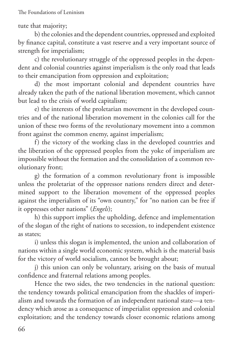tute that majority;

b) the colonies and the dependent countries, oppressed and exploited by finance capital, constitute a vast reserve and a very important source of strength for imperialism;

c) the revolutionary struggle of the oppressed peoples in the dependent and colonial countries against imperialism is the only road that leads to their emancipation from oppression and exploitation;

d) the most important colonial and dependent countries have already taken the path of the national liberation movement, which cannot but lead to the crisis of world capitalism;

e) the interests of the proletarian movement in the developed countries and of the national liberation movement in the colonies call for the union of these two forms of the revolutionary movement into a common front against the common enemy, against imperialism;

f) the victory of the working class in the developed countries and the liberation of the oppressed peoples from the yoke of imperialism are impossible without the formation and the consolidation of a common revolutionary front;

g) the formation of a common revolutionary front is impossible unless the proletariat of the oppressor nations renders direct and determined support to the liberation movement of the oppressed peoples against the imperialism of its "own country," for "no nation can be free if it oppresses other nations" (*Engels*);

h) this support implies the upholding, defence and implementation of the slogan of the right of nations to secession, to independent existence as states;

i) unless this slogan is implemented, the union and collaboration of nations within a single world economic system, which is the material basis for the victory of world socialism, cannot be brought about;

j) this union can only be voluntary, arising on the basis of mutual confidence and fraternal relations among peoples.

Hence the two sides, the two tendencies in the national question: the tendency towards political emancipation from the shackles of imperialism and towards the formation of an independent national state—a tendency which arose as a consequence of imperialist oppression and colonial exploitation; and the tendency towards closer economic relations among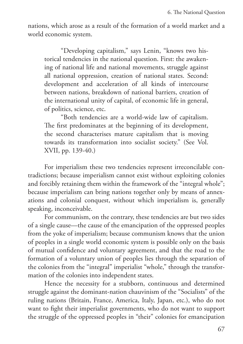nations, which arose as a result of the formation of a world market and a world economic system.

"Developing capitalism," says Lenin, "knows two historical tendencies in the national question. First: the awakening of national life and national movements, struggle against all national oppression, creation of national states. Second: development and acceleration of all kinds of intercourse between nations, breakdown of national barriers, creation of the international unity of capital, of economic life in general, of politics, science, etc.

"Both tendencies are a world-wide law of capitalism. The first predominates at the beginning of its development, the second characterises mature capitalism that is moving towards its transformation into socialist society." (See Vol. XVII, pp. 139-40.)

For imperialism these two tendencies represent irreconcilable contradictions; because imperialism cannot exist without exploiting colonies and forcibly retaining them within the framework of the "integral whole"; because imperialism can bring nations together only by means of annexations and colonial conquest, without which imperialism is, generally speaking, inconceivable.

For communism, on the contrary, these tendencies are but two sides of a single cause—the cause of the emancipation of the oppressed peoples from the yoke of imperialism; because communism knows that the union of peoples in a single world economic system is possible only on the basis of mutual confidence and voluntary agreement, and that the road to the formation of a voluntary union of peoples lies through the separation of the colonies from the "integral" imperialist "whole," through the transformation of the colonies into independent states.

Hence the necessity for a stubborn, continuous and determined struggle against the dominant-nation chauvinism of the "Socialists" of the ruling nations (Britain, France, America, Italy, Japan, etc.), who do not want to fight their imperialist governments, who do not want to support the struggle of the oppressed peoples in "their" colonies for emancipation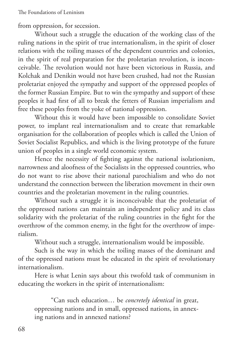from oppression, for secession.

Without such a struggle the education of the working class of the ruling nations in the spirit of true internationalism, in the spirit of closer relations with the toiling masses of the dependent countries and colonies, in the spirit of real preparation for the proletarian revolution, is inconceivable. The revolution would not have been victorious in Russia, and Kolchak and Denikin would not have been crushed, had not the Russian proletariat enjoyed the sympathy and support of the oppressed peoples of the former Russian Empire. But to win the sympathy and support of these peoples it had first of all to break the fetters of Russian imperialism and free these peoples from the yoke of national oppression.

Without this it would have been impossible to consolidate Soviet power, to implant real internationalism and to create that remarkable organisation for the collaboration of peoples which is called the Union of Soviet Socialist Republics, and which is the living prototype of the future union of peoples in a single world economic system.

Hence the necessity of fighting against the national isolationism, narrowness and aloofness of the Socialists in the oppressed countries, who do not want to rise above their national parochialism and who do not understand the connection between the liberation movement in their own countries and the proletarian movement in the ruling countries.

Without such a struggle it is inconceivable that the proletariat of the oppressed nations can maintain an independent policy and its class solidarity with the proletariat of the ruling countries in the fight for the overthrow of the common enemy, in the fight for the overthrow of imperialism.

Without such a struggle, internationalism would be impossible.

Such is the way in which the toiling masses of the dominant and of the oppressed nations must be educated in the spirit of revolutionary internationalism.

Here is what Lenin says about this twofold task of communism in educating the workers in the spirit of internationalism:

"Can such education… be *concretely identical* in great, oppressing nations and in small, oppressed nations, in annexing nations and in annexed nations?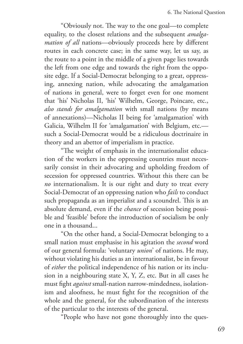"Obviously not. The way to the one goal—to complete equality, to the closest relations and the subsequent *amalgamation of all* nations—obviously proceeds here by different routes in each concrete case; in the same way, let us say, as the route to a point in the middle of a given page lies towards the left from one edge and towards the right from the opposite edge. If a Social-Democrat belonging to a great, oppressing, annexing nation, while advocating the amalgamation of nations in general, were to forget even for one moment that 'his' Nicholas II, 'his' Wilhelm, George, Poincare, etc., *also stands for amalgamation* with small nations (by means of annexations)—Nicholas II being for 'amalgamation' with Galicia, Wilhelm II for 'amalgamation' with Belgium, etc. such a Social-Democrat would be a ridiculous doctrinaire in theory and an abettor of imperialism in practice.

"The weight of emphasis in the internationalist education of the workers in the oppressing countries must necessarily consist in their advocating and upholding freedom of secession for oppressed countries. Without this there can be *no* internationalism. It is our right and duty to treat every Social-Democrat of an oppressing nation who *fails* to conduct such propaganda as an imperialist and a scoundrel. This is an absolute demand, even if the *chance* of secession being possible and 'feasible' before the introduction of socialism be only one in a thousand...

"On the other hand, a Social-Democrat belonging to a small nation must emphasise in his agitation the *second* word of our general formula: 'voluntary *union*' of nations. He may, without violating his duties as an internationalist, be in favour of *either* the political independence of his nation or its inclusion in a neighbouring state X, Y, Z, etc. But in all cases he must fight *against* small-nation narrow-mindedness, isolationism and aloofness, he must fight for the recognition of the whole and the general, for the subordination of the interests of the particular to the interests of the general.

"People who have not gone thoroughly into the ques-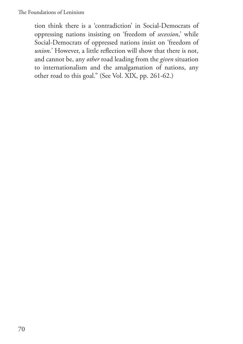tion think there is a 'contradiction' in Social-Democrats of oppressing nations insisting on 'freedom of *secession*,' while Social-Democrats of oppressed nations insist on 'freedom of *union*.' However, a little reflection will show that there is not, and cannot be, any *other* road leading from the *given* situation to internationalism and the amalgamation of nations, any other road to this goal." (See Vol. XIX, pp. 261-62.)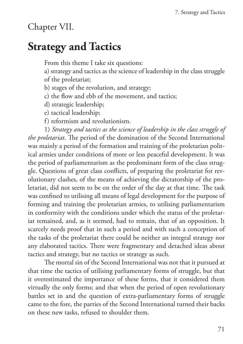### Chapter VII.

# **Strategy and Tactics**

From this theme I take six questions:

a) strategy and tactics as the science of leadership in the class struggle

- of the proletariat;
- b) stages of the revolution, and strategy;
- c) the flow and ebb of the movement, and tactics;
- d) strategic leadership;
- e) tactical leadership;
- f) reformism and revolutionism.

1) *Strategy and tactics as the science of leadership in the class struggle of the proletariat*. The period of the domination of the Second International was mainly a period of the formation and training of the proletarian political armies under conditions of more or less peaceful development. It was the period of parliamentarism as the predominant form of the class struggle. Questions of great class conflicts, of preparing the proletariat for revolutionary clashes, of the means of achieving the dictatorship of the proletariat, did not seem to be on the order of the day at that time. The task was confined to utilising all means of legal development for the purpose of forming and training the proletarian armies, to utilising parliamentarism in conformity with the conditions under which the status of the proletariat remained, and, as it seemed, had to remain, that of an opposition. It scarcely needs proof that in such a period and with such a conception of the tasks of the proletariat there could be neither an integral strategy nor any elaborated tactics. There were fragmentary and detached ideas about tactics and strategy, but no tactics or strategy as such.

The mortal sin of the Second International was not that it pursued at that time the tactics of utilising parliamentary forms of struggle, but that it overestimated the importance of these forms, that it considered them virtually the only forms; and that when the period of open revolutionary battles set in and the question of extra-parliamentary forms of struggle came to the fore, the parties of the Second International turned their backs on these new tasks, refused to shoulder them.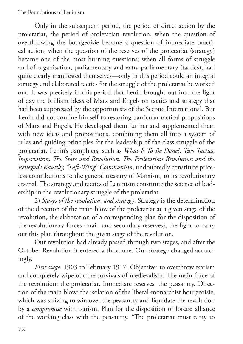#### The Foundations of Leninism

Only in the subsequent period, the period of direct action by the proletariat, the period of proletarian revolution, when the question of overthrowing the bourgeoisie became a question of immediate practical action; when the question of the reserves of the proletariat (strategy) became one of the most burning questions; when all forms of struggle and of organisation, parliamentary and extra-parliamentary (tactics), had quite clearly manifested themselves—only in this period could an integral strategy and elaborated tactics for the struggle of the proletariat be worked out. It was precisely in this period that Lenin brought out into the light of day the brilliant ideas of Marx and Engels on tactics and strategy that had been suppressed by the opportunists of the Second International. But Lenin did not confine himself to restoring particular tactical propositions of Marx and Engels. He developed them further and supplemented them with new ideas and propositions, combining them all into a system of rules and guiding principles for the leadership of the class struggle of the proletariat. Lenin's pamphlets, such as *What Is To Be Done?, Two Tactics, Imperialism, The State and Revolution, The Proletarian Revolution and the Renegade Kautsky, "Left-Wing" Communism*, undoubtedly constitute priceless contributions to the general treasury of Marxism, to its revolutionary arsenal. The strategy and tactics of Leninism constitute the science of leadership in the revolutionary struggle of the proletariat.

2) *Stages of the revolution, and strategy*. Strategy is the determination of the direction of the main blow of the proletariat at a given stage of the revolution, the elaboration of a corresponding plan for the disposition of the revolutionary forces (main and secondary reserves), the fight to carry out this plan throughout the given stage of the revolution.

Our revolution had already passed through two stages, and after the October Revolution it entered a third one. Our strategy changed accordingly.

*First stage*. 1903 to February 1917. Objective: to overthrow tsarism and completely wipe out the survivals of medievalism. The main force of the revolution: the proletariat. Immediate reserves: the peasantry. Direction of the main blow: the isolation of the liberal-monarchist bourgeoisie, which was striving to win over the peasantry and liquidate the revolution by a *compromise* with tsarism. Plan for the disposition of forces: alliance of the working class with the peasantry. "The proletariat must carry to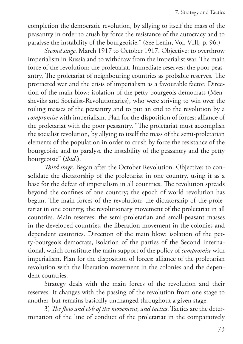completion the democratic revolution, by allying to itself the mass of the peasantry in order to crush by force the resistance of the autocracy and to paralyse the instability of the bourgeoisie." (See Lenin, Vol. VIII, p. 96.)

*Second stage*. March 1917 to October 1917. Objective: to overthrow imperialism in Russia and to withdraw from the imperialist war. The main force of the revolution: the proletariat. Immediate reserves: the poor peasantry. The proletariat of neighbouring countries as probable reserves. The protracted war and the crisis of imperialism as a favourable factor. Direction of the main blow: isolation of the petty-bourgeois democrats (Mensheviks and Socialist-Revolutionaries), who were striving to win over the toiling masses of the peasantry and to put an end to the revolution by a *compromise* with imperialism. Plan for the disposition of forces: alliance of the proletariat with the poor peasantry. "The proletariat must accomplish the socialist revolution, by allying to itself the mass of the semi-proletarian elements of the population in order to crush by force the resistance of the bourgeoisie and to paralyse the instability of the peasantry and the petty bourgeoisie" (*ibid*.).

*Third stage*. Began after the October Revolution. Objective: to consolidate the dictatorship of the proletariat in one country, using it as a base for the defeat of imperialism in all countries. The revolution spreads beyond the confines of one country; the epoch of world revolution has begun. The main forces of the revolution: the dictatorship of the proletariat in one country, the revolutionary movement of the proletariat in all countries. Main reserves: the semi-proletarian and small-peasant masses in the developed countries, the liberation movement in the colonies and dependent countries. Direction of the main blow: isolation of the petty-bourgeois democrats, isolation of the parties of the Second International, which constitute the main support of the policy of *compromise* with imperialism. Plan for the disposition of forces: alliance of the proletarian revolution with the liberation movement in the colonies and the dependent countries.

Strategy deals with the main forces of the revolution and their reserves. It changes with the passing of the revolution from one stage to another, but remains basically unchanged throughout a given stage.

3) *The flow and ebb of the movement, and tactics*. Tactics are the determination of the line of conduct of the proletariat in the comparatively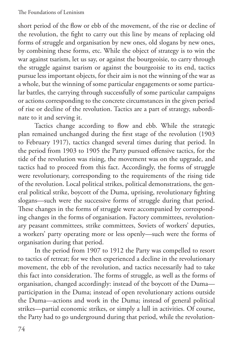short period of the flow or ebb of the movement, of the rise or decline of the revolution, the fight to carry out this line by means of replacing old forms of struggle and organisation by new ones, old slogans by new ones, by combining these forms, etc. While the object of strategy is to win the war against tsarism, let us say, or against the bourgeoisie, to carry through the struggle against tsarism or against the bourgeoisie to its end, tactics pursue less important objects, for their aim is not the winning of the war as a whole, but the winning of some particular engagements or some particular battles, the carrying through successfully of some particular campaigns or actions corresponding to the concrete circumstances in the given period of rise or decline of the revolution. Tactics are a part of strategy, subordinate to it and serving it.

Tactics change according to flow and ebb. While the strategic plan remained unchanged during the first stage of the revolution (1903 to February 1917), tactics changed several times during that period. In the period from 1903 to 1905 the Party pursued offensive tactics, for the tide of the revolution was rising, the movement was on the upgrade, and tactics had to proceed from this fact. Accordingly, the forms of struggle were revolutionary, corresponding to the requirements of the rising tide of the revolution. Local political strikes, political demonstrations, the general political strike, boycott of the Duma, uprising, revolutionary fighting slogans—such were the successive forms of struggle during that period. These changes in the forms of struggle were accompanied by corresponding changes in the forms of organisation. Factory committees, revolutionary peasant committees, strike committees, Soviets of workers' deputies, a workers' party operating more or less openly—such were the forms of organisation during that period.

In the period from 1907 to 1912 the Party was compelled to resort to tactics of retreat; for we then experienced a decline in the revolutionary movement, the ebb of the revolution, and tactics necessarily had to take this fact into consideration. The forms of struggle, as well as the forms of organisation, changed accordingly: instead of the boycott of the Duma participation in the Duma; instead of open revolutionary actions outside the Duma—actions and work in the Duma; instead of general political strikes—partial economic strikes, or simply a lull in activities. Of course, the Party had to go underground during that period, while the revolution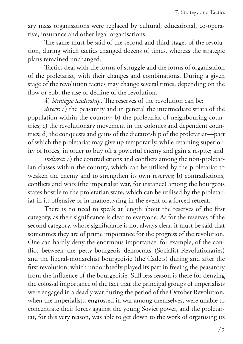ary mass organisations were replaced by cultural, educational, co-operative, insurance and other legal organisations.

The same must be said of the second and third stages of the revolution, during which tactics changed dozens of times, whereas the strategic plans remained unchanged.

Tactics deal with the forms of struggle and the forms of organisation of the proletariat, with their changes and combinations. During a given stage of the revolution tactics may change several times, depending on the flow or ebb, the rise or decline of the revolution.

4) *Strategic leadership*. The reserves of the revolution can be:

*direct*: a) the peasantry and in general the intermediate strata of the population within the country; b) the proletariat of neighbouring countries; c) the revolutionary movement in the colonies and dependent countries; d) the conquests and gains of the dictatorship of the proletariat—part of which the proletariat may give up temporarily, while retaining superiority of forces, in order to buy off a powerful enemy and gain a respite; and

*indirect*: a) the contradictions and conflicts among the non-proletarian classes within the country, which can be utilised by the proletariat to weaken the enemy and to strengthen its own reserves; b) contradictions, conflicts and wars (the imperialist war, for instance) among the bourgeois states hostile to the proletarian state, which can be utilised by the proletariat in its offensive or in manoeuvring in the event of a forced retreat.

There is no need to speak at length about the reserves of the first category, as their significance is clear to everyone. As for the reserves of the second category, whose significance is not always clear, it must be said that sometimes they are of prime importance for the progress of the revolution. One can hardly deny the enormous importance, for example, of the conflict between the petty-bourgeois democrats (Socialist-Revolutionaries) and the liberal-monarchist bourgeoisie (the Cadets) during and after the first revolution, which undoubtedly played its part in freeing the peasantry from the influence of the bourgeoisie. Still less reason is there for denying the colossal importance of the fact that the principal groups of imperialists were engaged in a deadly war during the period of the October Revolution, when the imperialists, engrossed in war among themselves, were unable to concentrate their forces against the young Soviet power, and the proletariat, for this very reason, was able to get down to the work of organising its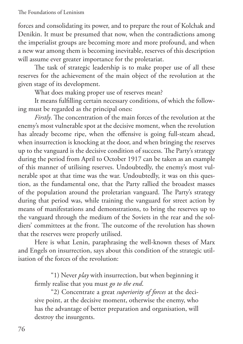forces and consolidating its power, and to prepare the rout of Kolchak and Denikin. It must be presumed that now, when the contradictions among the imperialist groups are becoming more and more profound, and when a new war among them is becoming inevitable, reserves of this description will assume ever greater importance for the proletariat.

The task of strategic leadership is to make proper use of all these reserves for the achievement of the main object of the revolution at the given stage of its development.

What does making proper use of reserves mean?

It means fulfilling certain necessary conditions, of which the following must be regarded as the principal ones:

*Firstly*. The concentration of the main forces of the revolution at the enemy's most vulnerable spot at the decisive moment, when the revolution has already become ripe, when the offensive is going full-steam ahead, when insurrection is knocking at the door, and when bringing the reserves up to the vanguard is the decisive condition of success. The Party's strategy during the period from April to October 1917 can be taken as an example of this manner of utilising reserves. Undoubtedly, the enemy's most vulnerable spot at that time was the war. Undoubtedly, it was on this question, as the fundamental one, that the Party rallied the broadest masses of the population around the proletarian vanguard. The Party's strategy during that period was, while training the vanguard for street action by means of manifestations and demonstrations, to bring the reserves up to the vanguard through the medium of the Soviets in the rear and the soldiers' committees at the front. The outcome of the revolution has shown that the reserves were properly utilised.

Here is what Lenin, paraphrasing the well-known theses of Marx and Engels on insurrection, says about this condition of the strategic utilisation of the forces of the revolution:

"1) Never *play* with insurrection, but when beginning it firmly realise that you must *go to the end*.

"2) Concentrate a great *superiority of forces* at the decisive point, at the decisive moment, otherwise the enemy, who has the advantage of better preparation and organisation, will destroy the insurgents.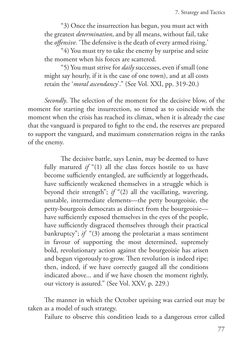"3) Once the insurrection has begun, you must act with the greatest *determination*, and by all means, without fail, take the *offensive*. 'The defensive is the death of every armed rising.'

"4) You must try to take the enemy by surprise and seize the moment when his forces are scattered.

"5) You must strive for *daily* successes, even if small (one might say hourly, if it is the case of one town), and at all costs retain the '*moral ascendancy*'." (See Vol. XXI, pp. 319-20.)

*Secondly*. The selection of the moment for the decisive blow, of the moment for starting the insurrection, so timed as to coincide with the moment when the crisis has reached its climax, when it is already the case that the vanguard is prepared to fight to the end, the reserves are prepared to support the vanguard, and maximum consternation reigns in the ranks of the enemy.

The decisive battle, says Lenin, may be deemed to have fully matured *if* "(1) all the class forces hostile to us have become sufficiently entangled, are sufficiently at loggerheads, have sufficiently weakened themselves in a struggle which is beyond their strength"; *if* "(2) all the vacillating, wavering, unstable, intermediate elements—the petty bourgeoisie, the petty-bourgeois democrats as distinct from the bourgeoisie have sufficiently exposed themselves in the eyes of the people, have sufficiently disgraced themselves through their practical bankruptcy"; *if* "(3) among the proletariat a mass sentiment in favour of supporting the most determined, supremely bold, revolutionary action against the bourgeoisie has arisen and begun vigorously to grow. Then revolution is indeed ripe; then, indeed, if we have correctly gauged all the conditions indicated above... and if we have chosen the moment rightly, our victory is assured." (See Vol. XXV, p. 229.)

The manner in which the October uprising was carried out may be taken as a model of such strategy.

Failure to observe this condition leads to a dangerous error called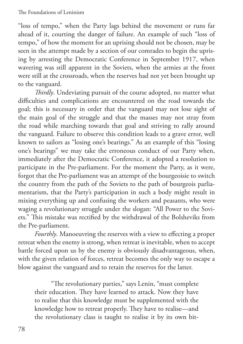"loss of tempo," when the Party lags behind the movement or runs far ahead of it, courting the danger of failure. An example of such "loss of tempo," of how the moment for an uprising should not be chosen, may be seen in the attempt made by a section of our comrades to begin the uprising by arresting the Democratic Conference in September 1917, when wavering was still apparent in the Soviets, when the armies at the front were still at the crossroads, when the reserves had not yet been brought up to the vanguard.

*Thirdly*. Undeviating pursuit of the course adopted, no matter what difficulties and complications are encountered on the road towards the goal; this is necessary in order that the vanguard may not lose sight of the main goal of the struggle and that the masses may not stray from the road while marching towards that goal and striving to rally around the vanguard. Failure to observe this condition leads to a grave error, well known to sailors as "losing one's bearings." As an example of this "losing one's bearings" we may take the erroneous conduct of our Party when, immediately after the Democratic Conference, it adopted a resolution to participate in the Pre-parliament. For the moment the Party, as it were, forgot that the Pre-parliament was an attempt of the bourgeoisie to switch the country from the path of the Soviets to the path of bourgeois parliamentarism, that the Party's participation in such a body might result in mixing everything up and confusing the workers and peasants, who were waging a revolutionary struggle under the slogan: "All Power to the Soviets." This mistake was rectified by the withdrawal of the Bolsheviks from the Pre-parliament.

*Fourthly*. Manoeuvring the reserves with a view to effecting a proper retreat when the enemy is strong, when retreat is inevitable, when to accept battle forced upon us by the enemy is obviously disadvantageous, when, with the given relation of forces, retreat becomes the only way to escape a blow against the vanguard and to retain the reserves for the latter.

"The revolutionary parties," says Lenin, "must complete their education. They have learned to attack. Now they have to realise that this knowledge must be supplemented with the knowledge how to retreat properly. They have to realise—and the revolutionary class is taught to realise it by its own bit-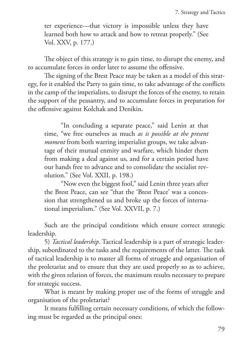ter experience—that victory is impossible unless they have learned both how to attack and how to retreat properly." (See Vol. XXV, p. 177.)

The object of this strategy is to gain time, to disrupt the enemy, and to accumulate forces in order later to assume the offensive.

The signing of the Brest Peace may be taken as a model of this strategy, for it enabled the Party to gain time, to take advantage of the conflicts in the camp of the imperialists, to disrupt the forces of the enemy, to retain the support of the peasantry, and to accumulate forces in preparation for the offensive against Kolchak and Denikin.

"In concluding a separate peace," said Lenin at that time, "we free ourselves as much *as is possible at the present moment* from both warring imperialist groups, we take advantage of their mutual enmity and warfare, which hinder them from making a deal against us, and for a certain period have our hands free to advance and to consolidate the socialist revolution." (See Vol. XXII, p. 198.)

"Now even the biggest fool," said Lenin three years after the Brest Peace, can see "that the 'Brest Peace' was a concession that strengthened us and broke up the forces of international imperialism." (See Vol. XXVII, p. 7.)

Such are the principal conditions which ensure correct strategic leadership.

5) *Tactical leadership*. Tactical leadership is a part of strategic leadership, subordinated to the tasks and the requirements of the latter. The task of tactical leadership is to master all forms of struggle and organisation of the proletariat and to ensure that they are used properly so as to achieve, with the given relation of forces, the maximum results necessary to prepare for strategic success.

What is meant by making proper use of the forms of struggle and organisation of the proletariat?

It means fulfilling certain necessary conditions, of which the following must be regarded as the principal ones: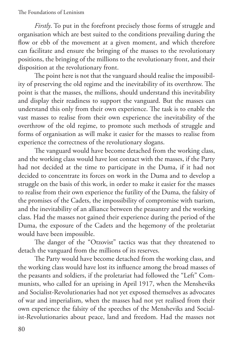*Firstly*. To put in the forefront precisely those forms of struggle and organisation which are best suited to the conditions prevailing during the flow or ebb of the movement at a given moment, and which therefore can facilitate and ensure the bringing of the masses to the revolutionary positions, the bringing of the millions to the revolutionary front, and their disposition at the revolutionary front.

The point here is not that the vanguard should realise the impossibility of preserving the old regime and the inevitability of its overthrow. The point is that the masses, the millions, should understand this inevitability and display their readiness to support the vanguard. But the masses can understand this only from their own experience. The task is to enable the vast masses to realise from their own experience the inevitability of the overthrow of the old regime, to promote such methods of struggle and forms of organisation as will make it easier for the masses to realise from experience the correctness of the revolutionary slogans.

The vanguard would have become detached from the working class, and the working class would have lost contact with the masses, if the Party had not decided at the time to participate in the Duma, if it had not decided to concentrate its forces on work in the Duma and to develop a struggle on the basis of this work, in order to make it easier for the masses to realise from their own experience the futility of the Duma, the falsity of the promises of the Cadets, the impossibility of compromise with tsarism, and the inevitability of an alliance between the peasantry and the working class. Had the masses not gained their experience during the period of the Duma, the exposure of the Cadets and the hegemony of the proletariat would have been impossible.

The danger of the "Otzovist" tactics was that they threatened to detach the vanguard from the millions of its reserves.

The Party would have become detached from the working class, and the working class would have lost its influence among the broad masses of the peasants and soldiers, if the proletariat had followed the "Left" Communists, who called for an uprising in April 1917, when the Mensheviks and Socialist-Revolutionaries had not yet exposed themselves as advocates of war and imperialism, when the masses had not yet realised from their own experience the falsity of the speeches of the Mensheviks and Socialist-Revolutionaries about peace, land and freedom. Had the masses not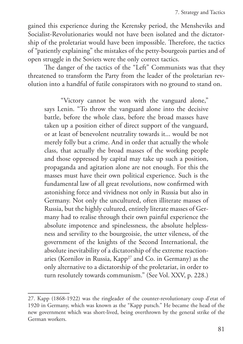gained this experience during the Kerensky period, the Mensheviks and Socialist-Revolutionaries would not have been isolated and the dictatorship of the proletariat would have been impossible. Therefore, the tactics of "patiently explaining" the mistakes of the petty-bourgeois parties and of open struggle in the Soviets were the only correct tactics.

The danger of the tactics of the "Left" Communists was that they threatened to transform the Party from the leader of the proletarian revolution into a handful of futile conspirators with no ground to stand on.

"Victory cannot be won with the vanguard alone," says Lenin. "To throw the vanguard alone into the decisive battle, before the whole class, before the broad masses have taken up a position either of direct support of the vanguard, or at least of benevolent neutrality towards it... would be not merely folly but a crime. And in order that actually the whole class, that actually the broad masses of the working people and those oppressed by capital may take up such a position, propaganda and agitation alone are not enough. For this the masses must have their own political experience. Such is the fundamental law of all great revolutions, now confirmed with astonishing force and vividness not only in Russia but also in Germany. Not only the uncultured, often illiterate masses of Russia, but the highly cultured, entirely literate masses of Germany had to realise through their own painful experience the absolute impotence and spinelessness, the absolute helplessness and servility to the bourgeoisie, the utter vileness, of the government of the knights of the Second International, the absolute inevitability of a dictatorship of the extreme reactionaries (Kornilov in Russia, Kapp<sup>27</sup> and Co. in Germany) as the only alternative to a dictatorship of the proletariat, in order to turn resolutely towards communism." (See Vol. XXV, p. 228.)

<sup>27.</sup> Kapp (1868-1922) was the ringleader of the counter-revolutionary coup d'etat of 1920 in Germany, which was known as the "Kapp putsch." He became the head of the new government which was short-lived, being overthrown by the general strike of the German workers.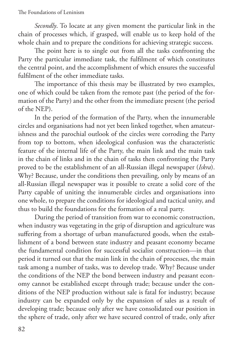*Secondly*. To locate at any given moment the particular link in the chain of processes which, if grasped, will enable us to keep hold of the whole chain and to prepare the conditions for achieving strategic success.

The point here is to single out from all the tasks confronting the Party the particular immediate task, the fulfilment of which constitutes the central point, and the accomplishment of which ensures the successful fulfilment of the other immediate tasks.

The importance of this thesis may be illustrated by two examples, one of which could be taken from the remote past (the period of the formation of the Party) and the other from the immediate present (the period of the NEP).

In the period of the formation of the Party, when the innumerable circles and organisations had not yet been linked together, when amateurishness and the parochial outlook of the circles were corroding the Party from top to bottom, when ideological confusion was the characteristic feature of the internal life of the Party, the main link and the main task in the chain of links and in the chain of tasks then confronting the Party proved to be the establishment of an all-Russian illegal newspaper (*Iskra*). Why? Because, under the conditions then prevailing, only by means of an all-Russian illegal newspaper was it possible to create a solid core of the Party capable of uniting the innumerable circles and organisations into one whole, to prepare the conditions for ideological and tactical unity, and thus to build the foundations for the formation of a real party.

During the period of transition from war to economic construction, when industry was vegetating in the grip of disruption and agriculture was suffering from a shortage of urban manufactured goods, when the establishment of a bond between state industry and peasant economy became the fundamental condition for successful socialist construction—in that period it turned out that the main link in the chain of processes, the main task among a number of tasks, was to develop trade. Why? Because under the conditions of the NEP the bond between industry and peasant economy cannot be established except through trade; because under the conditions of the NEP production without sale is fatal for industry; because industry can be expanded only by the expansion of sales as a result of developing trade; because only after we have consolidated our position in the sphere of trade, only after we have secured control of trade, only after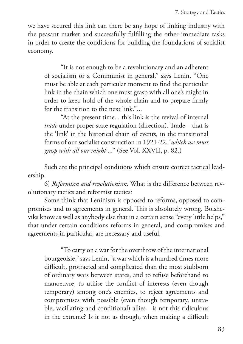we have secured this link can there be any hope of linking industry with the peasant market and successfully fulfilling the other immediate tasks in order to create the conditions for building the foundations of socialist economy.

"It is not enough to be a revolutionary and an adherent of socialism or a Communist in general," says Lenin. "One must be able at each particular moment to find the particular link in the chain which one must grasp with all one's might in order to keep hold of the whole chain and to prepare firmly for the transition to the next link."...

"At the present time... this link is the revival of internal *trade* under proper state regulation (direction). Trade—that is the 'link' in the historical chain of events, in the transitional forms of our socialist construction in 1921-22, '*which we must grasp with all our might*'..." (See Vol. XXVII, p. 82.)

Such are the principal conditions which ensure correct tactical leadership.

6) *Reformism and revolutionism*. What is the difference between revolutionary tactics and reformist tactics?

Some think that Leninism is opposed to reforms, opposed to compromises and to agreements in general. This is absolutely wrong. Bolsheviks know as well as anybody else that in a certain sense "every little helps," that under certain conditions reforms in general, and compromises and agreements in particular, are necessary and useful.

"To carry on a war for the overthrow of the international bourgeoisie," says Lenin, "a war which is a hundred times more difficult, protracted and complicated than the most stubborn of ordinary wars between states, and to refuse beforehand to manoeuvre, to utilise the conflict of interests (even though temporary) among one's enemies, to reject agreements and compromises with possible (even though temporary, unstable, vacillating and conditional) allies—is not this ridiculous in the extreme? Is it not as though, when making a difficult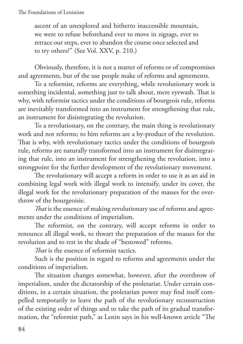ascent of an unexplored and hitherto inaccessible mountain, we were to refuse beforehand ever to move in zigzags, ever to retrace our steps, ever to abandon the course once selected and to try others?" (See Vol. XXV, p. 210.)

Obviously, therefore, it is not a matter of reforms or of compromises and agreements, but of the use people make of reforms and agreements.

To a reformist, reforms are everything, while revolutionary work is something incidental, something just to talk about, mere eyewash. That is why, with reformist tactics under the conditions of bourgeois rule, reforms are inevitably transformed into an instrument for strengthening that rule, an instrument for disintegrating the revolution.

To a revolutionary, on the contrary, the main thing is revolutionary work and not reforms; to him reforms are a by-product of the revolution. That is why, with revolutionary tactics under the conditions of bourgeois rule, reforms are naturally transformed into an instrument for disintegrating that rule, into an instrument for strengthening the revolution, into a strongpoint for the further development of the revolutionary movement.

The revolutionary will accept a reform in order to use it as an aid in combining legal work with illegal work to intensify, under its cover, the illegal work for the revolutionary preparation of the masses for the overthrow of the bourgeoisie.

*That* is the essence of making revolutionary use of reforms and agreements under the conditions of imperialism.

The reformist, on the contrary, will accept reforms in order to renounce all illegal work, to thwart the preparation of the masses for the revolution and to rest in the shade of "bestowed" reforms.

*That* is the essence of reformist tactics.

Such is the position in regard to reforms and agreements under the conditions of imperialism.

The situation changes somewhat, however, after the overthrow of imperialism, under the dictatorship of the proletariat. Under certain conditions, in a certain situation, the proletarian power may find itself compelled temporarily to leave the path of the revolutionary reconstruction of the existing order of things and to take the path of its gradual transformation, the "reformist path," as Lenin says in his well-known article "The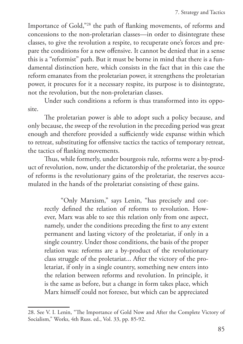Importance of Gold,"28 the path of flanking movements, of reforms and concessions to the non-proletarian classes—in order to disintegrate these classes, to give the revolution a respite, to recuperate one's forces and prepare the conditions for a new offensive. It cannot be denied that in a sense this is a "reformist" path. But it must be borne in mind that there is a fundamental distinction here, which consists in the fact that in this case the reform emanates from the proletarian power, it strengthens the proletarian power, it procures for it a necessary respite, its purpose is to disintegrate, not the revolution, but the non-proletarian classes.

Under such conditions a reform is thus transformed into its opposite.

The proletarian power is able to adopt such a policy because, and only because, the sweep of the revolution in the preceding period was great enough and therefore provided a sufficiently wide expanse within which to retreat, substituting for offensive tactics the tactics of temporary retreat, the tactics of flanking movements.

Thus, while formerly, under bourgeois rule, reforms were a by-product of revolution, now, under the dictatorship of the proletariat, the source of reforms is the revolutionary gains of the proletariat, the reserves accumulated in the hands of the proletariat consisting of these gains.

"Only Marxism," says Lenin, "has precisely and correctly defined the relation of reforms to revolution. However, Marx was able to see this relation only from one aspect, namely, under the conditions preceding the first to any extent permanent and lasting victory of the proletariat, if only in a single country. Under those conditions, the basis of the proper relation was: reforms are a by-product of the revolutionary class struggle of the proletariat... After the victory of the proletariat, if only in a single country, something new enters into the relation between reforms and revolution. In principle, it is the same as before, but a change in form takes place, which Marx himself could not foresee, but which can be appreciated

<sup>28.</sup> See V. I. Lenin, "The Importance of Gold Now and After the Complete Victory of Socialism," Works, 4th Russ. ed., Vol. 33, pp. 85-92.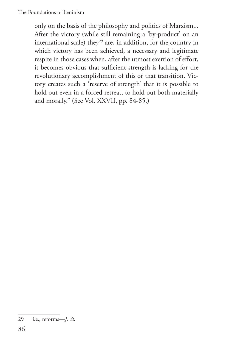only on the basis of the philosophy and politics of Marxism... After the victory (while still remaining a 'by-product' on an international scale) they<sup>29</sup> are, in addition, for the country in which victory has been achieved, a necessary and legitimate respite in those cases when, after the utmost exertion of effort, it becomes obvious that sufficient strength is lacking for the revolutionary accomplishment of this or that transition. Victory creates such a 'reserve of strength' that it is possible to hold out even in a forced retreat, to hold out both materially and morally." (See Vol. XXVII, pp. 84-85.)

<sup>29</sup> i.e., reforms—*J. St.*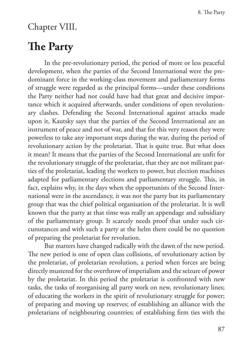### Chapter VIII.

# **The Party**

In the pre-revolutionary period, the period of more or less peaceful development, when the parties of the Second International were the predominant force in the working-class movement and parliamentary forms of struggle were regarded as the principal forms—under these conditions the Party neither had nor could have had that great and decisive importance which it acquired afterwards, under conditions of open revolutionary clashes. Defending the Second International against attacks made upon it, Kautsky says that the parties of the Second International are an instrument of peace and not of war, and that for this very reason they were powerless to take any important steps during the war, during the period of revolutionary action by the proletariat. That is quite true. But what does it mean? It means that the parties of the Second International are unfit for the revolutionary struggle of the proletariat, that they are not militant parties of the proletariat, leading the workers to power, but election machines adapted for parliamentary elections and parliamentary struggle. This, in fact, explains why, in the days when the opportunists of the Second International were in the ascendancy, it was not the party but its parliamentary group that was the chief political organisation of the proletariat. It is well known that the party at that time was really an appendage and subsidiary of the parliamentary group. It scarcely needs proof that under such circumstances and with such a party at the helm there could be no question of preparing the proletariat for revolution.

But matters have changed radically with the dawn of the new period. The new period is one of open class collisions, of revolutionary action by the proletariat, of proletarian revolution, a period when forces are being directly mustered for the overthrow of imperialism and the seizure of power by the proletariat. In this period the proletariat is confronted with new tasks, the tasks of reorganising all party work on new, revolutionary lines; of educating the workers in the spirit of revolutionary struggle for power; of preparing and moving up reserves; of establishing an alliance with the proletarians of neighbouring countries; of establishing firm ties with the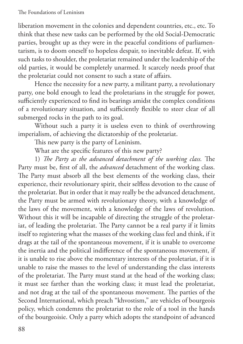liberation movement in the colonies and dependent countries, etc., etc. To think that these new tasks can be performed by the old Social-Democratic parties, brought up as they were in the peaceful conditions of parliamentarism, is to doom oneself to hopeless despair, to inevitable defeat. If, with such tasks to shoulder, the proletariat remained under the leadership of the old parties, it would be completely unarmed. It scarcely needs proof that the proletariat could not consent to such a state of affairs.

Hence the necessity for a new party, a militant party, a revolutionary party, one bold enough to lead the proletarians in the struggle for power, sufficiently experienced to find its bearings amidst the complex conditions of a revolutionary situation, and sufficiently flexible to steer clear of all submerged rocks in the path to its goal.

Without such a party it is useless even to think of overthrowing imperialism, of achieving the dictatorship of the proletariat.

This new party is the party of Leninism.

What are the specific features of this new party?

1) *The Party as the advanced detachment of the working class.* The Party must be, first of all, the *advanced* detachment of the working class. The Party must absorb all the best elements of the working class, their experience, their revolutionary spirit, their selfless devotion to the cause of the proletariat. But in order that it may really be the advanced detachment, the Party must be armed with revolutionary theory, with a knowledge of the laws of the movement, with a knowledge of the laws of revolution. Without this it will be incapable of directing the struggle of the proletariat, of leading the proletariat. The Party cannot be a real party if it limits itself to registering what the masses of the working class feel and think, if it drags at the tail of the spontaneous movement, if it is unable to overcome the inertia and the political indifference of the spontaneous movement, if it is unable to rise above the momentary interests of the proletariat, if it is unable to raise the masses to the level of understanding the class interests of the proletariat. The Party must stand at the head of the working class; it must see farther than the working class; it must lead the proletariat, and not drag at the tail of the spontaneous movement. The parties of the Second International, which preach "khvostism," are vehicles of bourgeois policy, which condemns the proletariat to the role of a tool in the hands of the bourgeoisie. Only a party which adopts the standpoint of advanced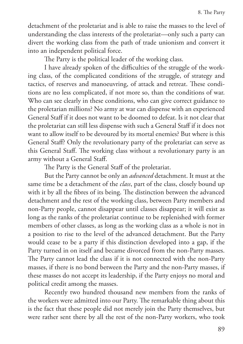detachment of the proletariat and is able to raise the masses to the level of understanding the class interests of the proletariat—only such a party can divert the working class from the path of trade unionism and convert it into an independent political force.

The Party is the political leader of the working class.

I have already spoken of the difficulties of the struggle of the working class, of the complicated conditions of the struggle, of strategy and tactics, of reserves and manoeuvring, of attack and retreat. These conditions are no less complicated, if not more so, than the conditions of war. Who can see clearly in these conditions, who can give correct guidance to the proletarian millions? No army at war can dispense with an experienced General Staff if it does not want to be doomed to defeat. Is it not clear that the proletariat can still less dispense with such a General Staff if it does not want to allow itself to be devoured by its mortal enemies? But where is this General Staff? Only the revolutionary party of the proletariat can serve as this General Staff. The working class without a revolutionary party is an army without a General Staff.

The Party is the General Staff of the proletariat.

But the Party cannot be only an *advanced* detachment. It must at the same time be a detachment of the *class*, part of the class, closely bound up with it by all the fibres of its being. The distinction between the advanced detachment and the rest of the working class, between Party members and non-Party people, cannot disappear until classes disappear; it will exist as long as the ranks of the proletariat continue to be replenished with former members of other classes, as long as the working class as a whole is not in a position to rise to the level of the advanced detachment. But the Party would cease to be a party if this distinction developed into a gap, if the Party turned in on itself and became divorced from the non-Party masses. The Party cannot lead the class if it is not connected with the non-Party masses, if there is no bond between the Party and the non-Party masses, if these masses do not accept its leadership, if the Party enjoys no moral and political credit among the masses.

Recently two hundred thousand new members from the ranks of the workers were admitted into our Party. The remarkable thing about this is the fact that these people did not merely join the Party themselves, but were rather sent there by all the rest of the non-Party workers, who took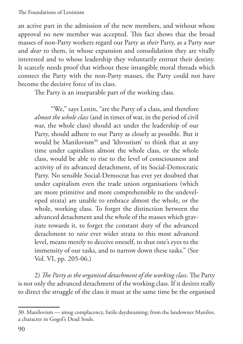an active part in the admission of the new members, and without whose approval no new member was accepted. This fact shows that the broad masses of non-Party workers regard our Party as *their* Party, as a Party *near* and *dear* to them, in whose expansion and consolidation they are vitally interested and to whose leadership they voluntarily entrust their destiny. It scarcely needs proof that without these intangible moral threads which connect the Party with the non-Party masses, the Party could not have become the decisive force of its class.

The Party is an inseparable part of the working class.

"We," says Lenin, "are the Party of a class, and therefore *almost the whole class* (and in times of war, in the period of civil war, the whole class) should act under the leadership of our Party, should adhere to our Party as closely as possible. But it would be Manilovism<sup>30</sup> and 'khvostism' to think that at any time under capitalism almost the whole class, or the whole class, would be able to rise to the level of consciousness and activity of its advanced detachment, of its Social-Democratic Party. No sensible Social-Democrat has ever yet doubted that under capitalism even the trade union organisations (which are more primitive and more comprehensible to the undeveloped strata) are unable to embrace almost the whole, or the whole, working class. To forget the distinction between the advanced detachment and the whole of the masses which gravitate towards it, to forget the constant duty of the advanced detachment to *raise* ever wider strata to this most advanced level, means merely to deceive oneself, to shut one's eyes to the immensity of our tasks, and to narrow down these tasks." (See Vol. VI, pp. 205-06.)

2) *The Party as the organised detachment of the working class*. The Party is not only the advanced detachment of the working class. If it desires really to direct the struggle of the class it must at the same time be the organised

<sup>30.</sup> Manilovism — smug complacency, futile daydreaming; from the landowner Manilov, a character in Gogol's Dead Souls.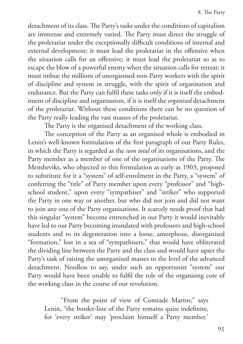detachment of its class. The Party's tasks under the conditions of capitalism are immense and extremely varied. The Party must direct the struggle of the proletariat under the exceptionally difficult conditions of internal and external development; it must lead the proletariat in the offensive when the situation calls for an offensive; it must lead the proletariat so as to escape the blow of a powerful enemy when the situation calls for retreat; it must imbue the millions of unorganised non-Party workers with the spirit of discipline and system in struggle, with the spirit of organisation and endurance. But the Party can fulfil these tasks only if it is itself the embodiment of discipline and organisation, if it is itself the *organised* detachment of the proletariat. Without these conditions there can be no question of the Party really leading the vast masses of the proletariat.

The Party is the organised detachment of the working class.

The conception of the Party as an organised whole is embodied in Lenin's well-known formulation of the first paragraph of our Party Rules, in which the Party is regarded as the *sum total* of its organisations, and the Party member as a member of one of the organisations of the Party. The Mensheviks, who objected to this formulation as early as 1903, proposed to substitute for it a "system" of self-enrolment in the Party, a "system" of conferring the "title" of Party member upon every "professor" and "highschool student," upon every "sympathiser" and "striker" who supported the Party in one way or another, but who did not join and did not want to join any one of the Party organisations. It scarcely needs proof that had this singular "system" become entrenched in our Party it would inevitably have led to our Party becoming inundated with professors and high-school students and to its degeneration into a loose, amorphous, disorganised "formation," lost in a sea of "sympathisers," that would have obliterated the dividing line between the Party and the class and would have upset the Party's task of raising the unorganised masses to the level of the advanced detachment. Needless to say, under such an opportunist "system" our Party would have been unable to fulfil the role of the organising core of the working class in the course of our revolution.

"From the point of view of Comrade Martov," says Lenin, "the border-line of the Party remains quite indefinite, for 'every striker' may 'proclaim himself a Party member.'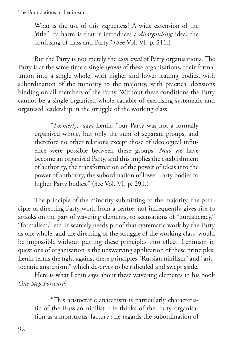What is the use of this vagueness? A wide extension of the 'title.' Its harm is that it introduces a *disorganising* idea, the confusing of class and Party." (See Vol. VI, p. 211.)

But the Party is not merely the *sum total* of Party organisations. The Party is at the same time a single *system* of these organisations, their formal union into a single whole, with higher and lower leading bodies, with subordination of the minority to the majority, with practical decisions binding on all members of the Party. Without these conditions the Party cannot be a single organised whole capable of exercising systematic and organised leadership in the struggle of the working class.

"*Formerly*," says Lenin, "our Party was not a formally organised whole, but only the sum of separate groups, and therefore no other relations except those of ideological influence were possible between these groups. *Now* we have become an organised Party, and this implies the establishment of authority, the transformation of the power of ideas into the power of authority, the subordination of lower Party bodies to higher Party bodies." (See Vol. VI, p. 291.)

The principle of the minority submitting to the majority, the principle of directing Party work from a centre, not infrequently gives rise to attacks on the part of wavering elements, to accusations of "bureaucracy," "formalism," etc. It scarcely needs proof that systematic work by the Party as one whole, and the directing of the struggle of the working class, would be impossible without putting these principles into effect. Leninism in questions of organisation is the unswerving application of these principles. Lenin terms the fight against these principles "Russian nihilism" and "aristocratic anarchism," which deserves to be ridiculed and swept aside.

Here is what Lenin says about these wavering elements in his book *One Step Forward*:

"This aristocratic anarchism is particularly characteristic of the Russian nihilist. He thinks of the Party organisation as a monstrous 'factory'; he regards the subordination of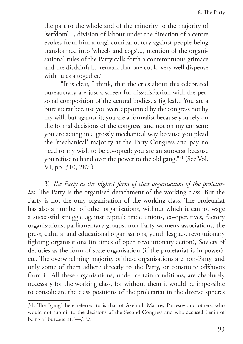the part to the whole and of the minority to the majority of 'serfdom'..., division of labour under the direction of a centre evokes from him a tragi-comical outcry against people being transformed into 'wheels and cogs'..., mention of the organisational rules of the Party calls forth a contemptuous grimace and the disdainful... remark that one could very well dispense with rules altogether."

"It is clear, I think, that the cries about this celebrated bureaucracy are just a screen for dissatisfaction with the personal composition of the central bodies, a fig leaf... You are a bureaucrat because you were appointed by the congress not by my will, but against it; you are a formalist because you rely on the formal decisions of the congress, and not on my consent; you are acting in a grossly mechanical way because you plead the 'mechanical' majority at the Party Congress and pay no heed to my wish to be co-opted; you are an autocrat because you refuse to hand over the power to the old gang."31 (See Vol. VI, pp. 310, 287.)

3) *The Party as the highest form of class organisation of the proletariat*. The Party is the organised detachment of the working class. But the Party is not the only organisation of the working class. The proletariat has also a number of other organisations, without which it cannot wage a successful struggle against capital: trade unions, co-operatives, factory organisations, parliamentary groups, non-Party women's associations, the press, cultural and educational organisations, youth leagues, revolutionary fighting organisations (in times of open revolutionary action), Soviets of deputies as the form of state organisation (if the proletariat is in power), etc. The overwhelming majority of these organisations are non-Party, and only some of them adhere directly to the Party, or constitute offshoots from it. All these organisations, under certain conditions, are absolutely necessary for the working class, for without them it would be impossible to consolidate the class positions of the proletariat in the diverse spheres

<sup>31.</sup> The "gang" here referred to is that of Axelrod, Martov, Potresov and others, who would not submit to the decisions of the Second Congress and who accused Lenin of being a "bureaucrat."*—J. St.*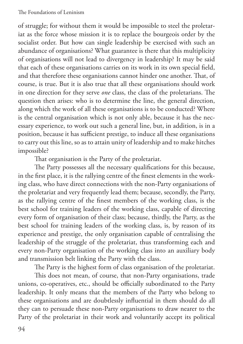of struggle; for without them it would be impossible to steel the proletariat as the force whose mission it is to replace the bourgeois order by the socialist order. But how can single leadership be exercised with such an abundance of organisations? What guarantee is there that this multiplicity of organisations will not lead to divergency in leadership? It may be said that each of these organisations carries on its work in its own special field, and that therefore these organisations cannot hinder one another. That, of course, is true. But it is also true that all these organisations should work in one direction for they serve *one* class, the class of the proletarians. The question then arises: who is to determine the line, the general direction, along which the work of all these organisations is to be conducted? Where is the central organisation which is not only able, because it has the necessary experience, to work out such a general line, but, in addition, is in a position, because it has sufficient prestige, to induce all these organisations to carry out this line, so as to attain unity of leadership and to make hitches impossible?

That organisation is the Party of the proletariat.

The Party possesses all the necessary qualifications for this because, in the first place, it is the rallying centre of the finest elements in the working class, who have direct connections with the non-Party organisations of the proletariat and very frequently lead them; because, secondly, the Party, as the rallying centre of the finest members of the working class, is the best school for training leaders of the working class, capable of directing every form of organisation of their class; because, thirdly, the Party, as the best school for training leaders of the working class, is, by reason of its experience and prestige, the only organisation capable of centralising the leadership of the struggle of the proletariat, thus transforming each and every non-Party organisation of the working class into an auxiliary body and transmission belt linking the Party with the class.

The Party is the highest form of class organisation of the proletariat.

This does not mean, of course, that non-Party organisations, trade unions, co-operatives, etc., should be officially subordinated to the Party leadership. It only means that the members of the Party who belong to these organisations and are doubtlessly influential in them should do all they can to persuade these non-Party organisations to draw nearer to the Party of the proletariat in their work and voluntarily accept its political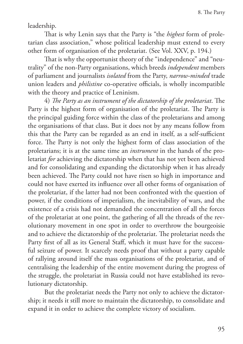leadership.

That is why Lenin says that the Party is "the *highest* form of proletarian class association," whose political leadership must extend to every other form of organisation of the proletariat. (See Vol. XXV, p. 194.)

That is why the opportunist theory of the "independence" and "neutrality" of the non-Party organisations, which breeds *independent* members of parliament and journalists *isolated* from the Party, *narrow-minded* trade union leaders and *philistine* co-operative officials, is wholly incompatible with the theory and practice of Leninism.

4) *The Party as an instrument of the dictatorship of the proletariat*. The Party is the highest form of organisation of the proletariat. The Party is the principal guiding force within the class of the proletarians and among the organisations of that class. But it does not by any means follow from this that the Party can be regarded as an end in itself, as a self-sufficient force. The Party is not only the highest form of class association of the proletarians; it is at the same time an *instrument* in the hands of the proletariat *for* achieving the dictatorship when that has not yet been achieved and for consolidating and expanding the dictatorship when it has already been achieved. The Party could not have risen so high in importance and could not have exerted its influence over all other forms of organisation of the proletariat, if the latter had not been confronted with the question of power, if the conditions of imperialism, the inevitability of wars, and the existence of a crisis had not demanded the concentration of all the forces of the proletariat at one point, the gathering of all the threads of the revolutionary movement in one spot in order to overthrow the bourgeoisie and to achieve the dictatorship of the proletariat. The proletariat needs the Party first of all as its General Staff, which it must have for the successful seizure of power. It scarcely needs proof that without a party capable of rallying around itself the mass organisations of the proletariat, and of centralising the leadership of the entire movement during the progress of the struggle, the proletariat in Russia could not have established its revolutionary dictatorship.

But the proletariat needs the Party not only to achieve the dictatorship; it needs it still more to maintain the dictatorship, to consolidate and expand it in order to achieve the complete victory of socialism.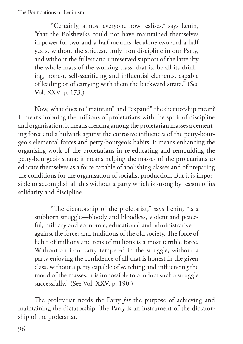"Certainly, almost everyone now realises," says Lenin, "that the Bolsheviks could not have maintained themselves in power for two-and-a-half months, let alone two-and-a-half years, without the strictest, truly iron discipline in our Party, and without the fullest and unreserved support of the latter by the whole mass of the working class, that is, by all its thinking, honest, self-sacrificing and influential elements, capable of leading or of carrying with them the backward strata." (See Vol. XXV, p. 173.)

Now, what does to "maintain" and "expand" the dictatorship mean? It means imbuing the millions of proletarians with the spirit of discipline and organisation; it means creating among the proletarian masses a cementing force and a bulwark against the corrosive influences of the petty-bourgeois elemental forces and petty-bourgeois habits; it means enhancing the organising work of the proletarians in re-educating and remoulding the petty-bourgeois strata; it means helping the masses of the proletarians to educate themselves as a force capable of abolishing classes and of preparing the conditions for the organisation of socialist production. But it is impossible to accomplish all this without a party which is strong by reason of its solidarity and discipline.

"The dictatorship of the proletariat," says Lenin, "is a stubborn struggle—bloody and bloodless, violent and peaceful, military and economic, educational and administrative against the forces and traditions of the old society. The force of habit of millions and tens of millions is a most terrible force. Without an iron party tempered in the struggle, without a party enjoying the confidence of all that is honest in the given class, without a party capable of watching and influencing the mood of the masses, it is impossible to conduct such a struggle successfully." (See Vol. XXV, p. 190.)

The proletariat needs the Party *for* the purpose of achieving and maintaining the dictatorship. The Party is an instrument of the dictatorship of the proletariat.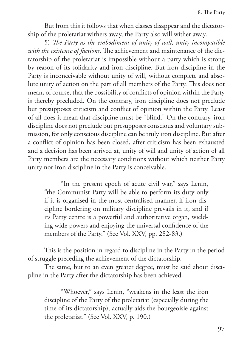But from this it follows that when classes disappear and the dictatorship of the proletariat withers away, the Party also will wither away.

5) *The Party as the embodiment of unity of will, unity incompatible with the existence of factions*. The achievement and maintenance of the dictatorship of the proletariat is impossible without a party which is strong by reason of its solidarity and iron discipline. But iron discipline in the Party is inconceivable without unity of will, without complete and absolute unity of action on the part of all members of the Party. This does not mean, of course, that the possibility of conflicts of opinion within the Party is thereby precluded. On the contrary, iron discipline does not preclude but presupposes criticism and conflict of opinion within the Party. Least of all does it mean that discipline must be "blind." On the contrary, iron discipline does not preclude but presupposes conscious and voluntary submission, for only conscious discipline can be truly iron discipline. But after a conflict of opinion has been closed, after criticism has been exhausted and a decision has been arrived at, unity of will and unity of action of all Party members are the necessary conditions without which neither Party unity nor iron discipline in the Party is conceivable.

"In the present epoch of acute civil war," says Lenin, "the Communist Party will be able to perform its duty only if it is organised in the most centralised manner, if iron discipline bordering on military discipline prevails in it, and if its Party centre is a powerful and authoritative organ, wielding wide powers and enjoying the universal confidence of the members of the Party." (See Vol. XXV, pp. 282-83.)

This is the position in regard to discipline in the Party in the period of struggle preceding the achievement of the dictatorship.

The same, but to an even greater degree, must be said about discipline in the Party after the dictatorship has been achieved.

"Whoever," says Lenin, "weakens in the least the iron discipline of the Party of the proletariat (especially during the time of its dictatorship), actually aids the bourgeoisie against the proletariat." (See Vol. XXV, p. 190.)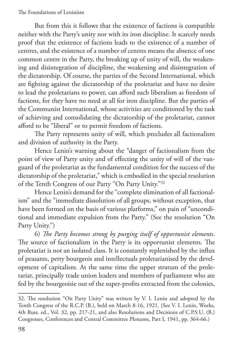But from this it follows that the existence of factions is compatible neither with the Party's unity nor with its iron discipline. It scarcely needs proof that the existence of factions leads to the existence of a number of centres, and the existence of a number of centres means the absence of one common centre in the Party, the breaking up of unity of will, the weakening and disintegration of discipline, the weakening and disintegration of the dictatorship. Of course, the parties of the Second International, which are fighting against the dictatorship of the proletariat and have no desire to lead the proletarians to power, can afford such liberalism as freedom of factions, for they have no need at all for iron discipline. But the parties of the Communist International, whose activities are conditioned by the task of achieving and consolidating the dictatorship of the proletariat, cannot afford to be "liberal" or to permit freedom of factions.

The Party represents unity of will, which precludes all factionalism and division of authority in the Party.

Hence Lenin's warning about the "danger of factionalism from the point of view of Party unity and of effecting the unity of will of the vanguard of the proletariat as the fundamental condition for the success of the dictatorship of the proletariat," which is embodied in the special resolution of the Tenth Congress of our Party "On Party Unity."32

Hence Lenin's demand for the "complete elimination of all factionalism" and the "immediate dissolution of all groups, without exception, that have been formed on the basis of various platforms," on pain of "unconditional and immediate expulsion from the Party." (See the resolution "On Party Unity.")

6) *The Party becomes strong by purging itself of opportunist elements*. The source of factionalism in the Party is its opportunist elements. The proletariat is not an isolated class. It is constantly replenished by the influx of peasants, petty bourgeois and intellectuals proletarianised by the development of capitalism. At the same time the upper stratum of the proletariat, principally trade union leaders and members of parliament who are fed by the bourgeoisie out of the super-profits extracted from the colonies,

<sup>32.</sup> The resolution "On Party Unity" was written by V. I. Lenin and adopted by the Tenth Congress of the R.C.P. (B.), held on March 8-16, 1921. (See V. I. Lenin, Works, 4th Russ. ed., Vol. 32, pp. 217-21, and also Resolutions and Decisions of C.P.S.U. (B.) Congresses, Conferences and Central Committee Plenums, Part I, 1941, pp. 364-66.)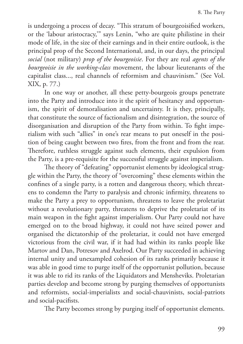is undergoing a process of decay. "This stratum of bourgeoisified workers, or the 'labour aristocracy,'" says Lenin, "who are quite philistine in their mode of life, in the size of their earnings and in their entire outlook, is the principal prop of the Second International, and, in our days, the principal *social* (not military) *prop of the bourgeoisie*. For they are real *agents of the bourgeoisie in the working-class* movement, the labour lieutenants of the capitalist class..., real channels of reformism and chauvinism." (See Vol. XIX, p. 77.)

In one way or another, all these petty-bourgeois groups penetrate into the Party and introduce into it the spirit of hesitancy and opportunism, the spirit of demoralisation and uncertainty. It is they, principally, that constitute the source of factionalism and disintegration, the source of disorganisation and disruption of the Party from within. To fight imperialism with such "allies" in one's rear means to put oneself in the position of being caught between two fires, from the front and from the rear. Therefore, ruthless struggle against such elements, their expulsion from the Party, is a pre-requisite for the successful struggle against imperialism.

The theory of "defeating" opportunist elements by ideological struggle within the Party, the theory of "overcoming" these elements within the confines of a single party, is a rotten and dangerous theory, which threatens to condemn the Party to paralysis and chronic infirmity, threatens to make the Party a prey to opportunism, threatens to leave the proletariat without a revolutionary party, threatens to deprive the proletariat of its main weapon in the fight against imperialism. Our Party could not have emerged on to the broad highway, it could not have seized power and organised the dictatorship of the proletariat, it could not have emerged victorious from the civil war, if it had had within its ranks people like Martov and Dan, Potresov and Axelrod. Our Party succeeded in achieving internal unity and unexampled cohesion of its ranks primarily because it was able in good time to purge itself of the opportunist pollution, because it was able to rid its ranks of the Liquidators and Mensheviks. Proletarian parties develop and become strong by purging themselves of opportunists and reformists, social-imperialists and social-chauvinists, social-patriots and social-pacifists.

The Party becomes strong by purging itself of opportunist elements.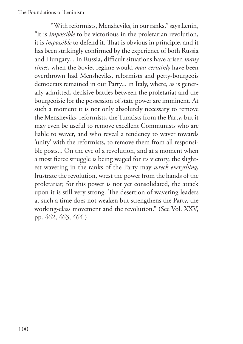"With reformists, Mensheviks, in our ranks," says Lenin, "it is *impossible* to be victorious in the proletarian revolution, it is *impossible* to defend it. That is obvious in principle, and it has been strikingly confirmed by the experience of both Russia and Hungary... In Russia, difficult situations have arisen *many times*, when the Soviet regime would *most certainly* have been overthrown had Mensheviks, reformists and petty-bourgeois democrats remained in our Party... in Italy, where, as is generally admitted, decisive battles between the proletariat and the bourgeoisie for the possession of state power are imminent. At such a moment it is not only absolutely necessary to remove the Mensheviks, reformists, the Turatists from the Party, but it may even be useful to remove excellent Communists who are liable to waver, and who reveal a tendency to waver towards 'unity' with the reformists, to remove them from all responsible posts... On the eve of a revolution, and at a moment when a most fierce struggle is being waged for its victory, the slightest wavering in the ranks of the Party may *wreck everything*, frustrate the revolution, wrest the power from the hands of the proletariat; for this power is not yet consolidated, the attack upon it is still very strong. The desertion of wavering leaders at such a time does not weaken but strengthens the Party, the working-class movement and the revolution." (See Vol. XXV, pp. 462, 463, 464.)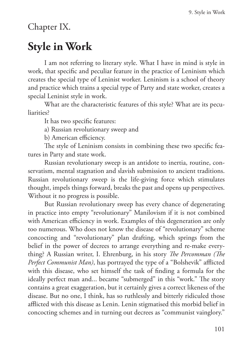## Chapter IX.

# **Style in Work**

I am not referring to literary style. What I have in mind is style in work, that specific and peculiar feature in the practice of Leninism which creates the special type of Leninist worker. Leninism is a school of theory and practice which trains a special type of Party and state worker, creates a special Leninist style in work.

What are the characteristic features of this style? What are its peculiarities?

It has two specific features:

a) Russian revolutionary sweep and

b) American efficiency.

The style of Leninism consists in combining these two specific features in Party and state work.

Russian revolutionary sweep is an antidote to inertia, routine, conservatism, mental stagnation and slavish submission to ancient traditions. Russian revolutionary sweep is the life-giving force which stimulates thought, impels things forward, breaks the past and opens up perspectives. Without it no progress is possible.

But Russian revolutionary sweep has every chance of degenerating in practice into empty "revolutionary" Manilovism if it is not combined with American efficiency in work. Examples of this degeneration are only too numerous. Who does not know the disease of "revolutionary" scheme concocting and "revolutionary" plan drafting, which springs from the belief in the power of decrees to arrange everything and re-make everything? A Russian writer, I. Ehrenburg, in his story *The Percomman (The Perfect Communist Man)*, has portrayed the type of a "Bolshevik" afflicted with this disease, who set himself the task of finding a formula for the ideally perfect man and... became "submerged" in this "work." The story contains a great exaggeration, but it certainly gives a correct likeness of the disease. But no one, I think, has so ruthlessly and bitterly ridiculed those afflicted with this disease as Lenin. Lenin stigmatised this morbid belief in concocting schemes and in turning out decrees as "communist vainglory."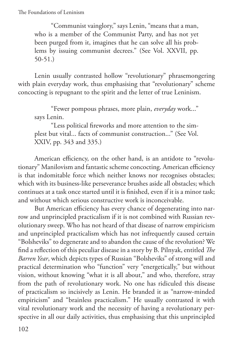The Foundations of Leninism

"Communist vainglory," says Lenin, "means that a man, who is a member of the Communist Party, and has not yet been purged from it, imagines that he can solve all his problems by issuing communist decrees." (See Vol. XXVII, pp. 50-51.)

Lenin usually contrasted hollow "revolutionary" phrasemongering with plain everyday work, thus emphasising that "revolutionary" scheme concocting is repugnant to the spirit and the letter of true Leninism.

"Fewer pompous phrases, more plain, *everyday* work..." says Lenin.

"Less political fireworks and more attention to the simplest but vital... facts of communist construction..." (See Vol. XXIV, pp. 343 and 335.)

American efficiency, on the other hand, is an antidote to "revolutionary" Manilovism and fantastic scheme concocting. American efficiency is that indomitable force which neither knows nor recognises obstacles; which with its business-like perseverance brushes aside all obstacles; which continues at a task once started until it is finished, even if it is a minor task; and without which serious constructive work is inconceivable.

But American efficiency has every chance of degenerating into narrow and unprincipled practicalism if it is not combined with Russian revolutionary sweep. Who has not heard of that disease of narrow empiricism and unprincipled practicalism which has not infrequently caused certain "Bolsheviks" to degenerate and to abandon the cause of the revolution? We find a reflection of this peculiar disease in a story by B. Pilnyak, entitled *The Barren Year*, which depicts types of Russian "Bolsheviks" of strong will and practical determination who "function" very "energetically," but without vision, without knowing "what it is all about," and who, therefore, stray from the path of revolutionary work. No one has ridiculed this disease of practicalism so incisively as Lenin. He branded it as "narrow-minded empiricism" and "brainless practicalism." He usually contrasted it with vital revolutionary work and the necessity of having a revolutionary perspective in all our daily activities, thus emphasising that this unprincipled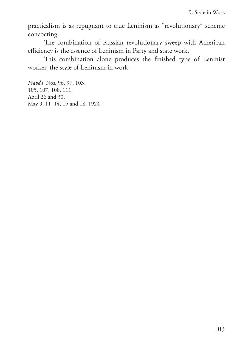practicalism is as repugnant to true Leninism as "revolutionary" scheme concocting.

The combination of Russian revolutionary sweep with American efficiency is the essence of Leninism in Party and state work.

This combination alone produces the finished type of Leninist worker, the style of Leninism in work.

*Pravda*, Nos. 96, 97, 103, 105, 107, 108, 111; April 26 and 30, May 9, 11, 14, 15 and 18, 1924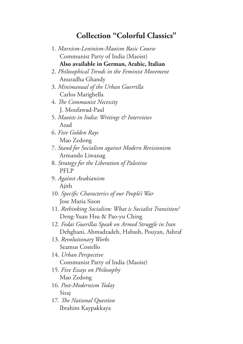## **Collection "Colorful Classics"**

- 1. *Marxism-Leninism-Maoism Basic Course* Communist Party of India (Maoist) **Also available in German, Arabic, Italian**
- 2. *Philosophical Trends in the Feminist Movement* Anuradha Ghandy
- 3. *Minimanual of the Urban Guerrilla* Carlos Marighella
- 4. *The Communist Necessity* J. Moufawad-Paul
- 5. *Maoists in India: Writings & Interviews* Azad
- 6. *Five Golden Rays* Mao Zedong
- 7. *Stand for Socialism against Modern Revisionism* Armando Liwanag
- 8. *Strategy for the Liberation of Palestine* PFLP
- 9. *Against Avakianism* Ajith
- 10. *Specific Characterics of our People's War* Jose Maria Sison
- 11. *Rethinking Socialism: What is Socialist Transition?* Deng-Yuan Hsu & Pao-yu Ching
- 12. *Fedai Guerillas Speak on Armed Struggle in Iran* Dehghani, Ahmadzadeh, Habash, Pouyan, Ashraf
- 13. *Revolutionary Works* Seamus Costello
- 14. *Urban Perspective* Communist Party of India (Maoist)
- 15. *Five Essays on Philosophy* Mao Zedong
- 16. *Post-Modernism Today* Siraj
- 17. *The National Question* Ibrahim Kaypakkaya